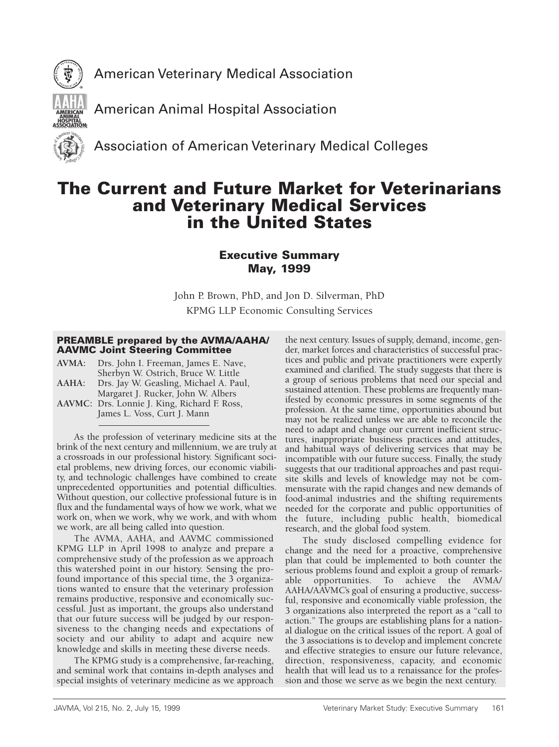



American Animal Hospital Association

Association of American Veterinary Medical Colleges

# The Current and Future Market for Veterinarians and Veterinary Medical Services in the United States

# Executive Summary May, 1999

John P. Brown, PhD, and Jon D. Silverman, PhD KPMG LLP Economic Consulting Services

# PREAMBLE prepared by the AVMA/AAHA/ AAVMC Joint Steering Committee

**AVMA:** Drs. John I. Freeman, James E. Nave, Sherbyn W. Ostrich, Bruce W. Little **AAHA:** Drs. Jay W. Geasling, Michael A. Paul,

Margaret J. Rucker, John W. Albers

**AAVMC:** Drs. Lonnie J. King, Richard F. Ross, James L. Voss, Curt J. Mann

As the profession of veterinary medicine sits at the brink of the next century and millennium, we are truly at a crossroads in our professional history. Significant societal problems, new driving forces, our economic viability, and technologic challenges have combined to create unprecedented opportunities and potential difficulties. Without question, our collective professional future is in flux and the fundamental ways of how we work, what we work on, when we work, why we work, and with whom we work, are all being called into question.

The AVMA, AAHA, and AAVMC commissioned KPMG LLP in April 1998 to analyze and prepare a comprehensive study of the profession as we approach this watershed point in our history. Sensing the profound importance of this special time, the 3 organizations wanted to ensure that the veterinary profession remains productive, responsive and economically successful. Just as important, the groups also understand that our future success will be judged by our responsiveness to the changing needs and expectations of society and our ability to adapt and acquire new knowledge and skills in meeting these diverse needs.

The KPMG study is a comprehensive, far-reaching, and seminal work that contains in-depth analyses and special insights of veterinary medicine as we approach the next century. Issues of supply, demand, income, gender, market forces and characteristics of successful practices and public and private practitioners were expertly examined and clarified. The study suggests that there is a group of serious problems that need our special and sustained attention. These problems are frequently manifested by economic pressures in some segments of the profession. At the same time, opportunities abound but may not be realized unless we are able to reconcile the need to adapt and change our current inefficient structures, inappropriate business practices and attitudes, and habitual ways of delivering services that may be incompatible with our future success. Finally, the study suggests that our traditional approaches and past requisite skills and levels of knowledge may not be commensurate with the rapid changes and new demands of food-animal industries and the shifting requirements needed for the corporate and public opportunities of the future, including public health, biomedical research, and the global food system.

The study disclosed compelling evidence for change and the need for a proactive, comprehensive plan that could be implemented to both counter the serious problems found and exploit a group of remarkable opportunities. To achieve the AVMA/ AAHA/AAVMC's goal of ensuring a productive, successful, responsive and economically viable profession, the 3 organizations also interpreted the report as a "call to action." The groups are establishing plans for a national dialogue on the critical issues of the report. A goal of the 3 associations is to develop and implement concrete and effective strategies to ensure our future relevance, direction, responsiveness, capacity, and economic health that will lead us to a renaissance for the profession and those we serve as we begin the next century.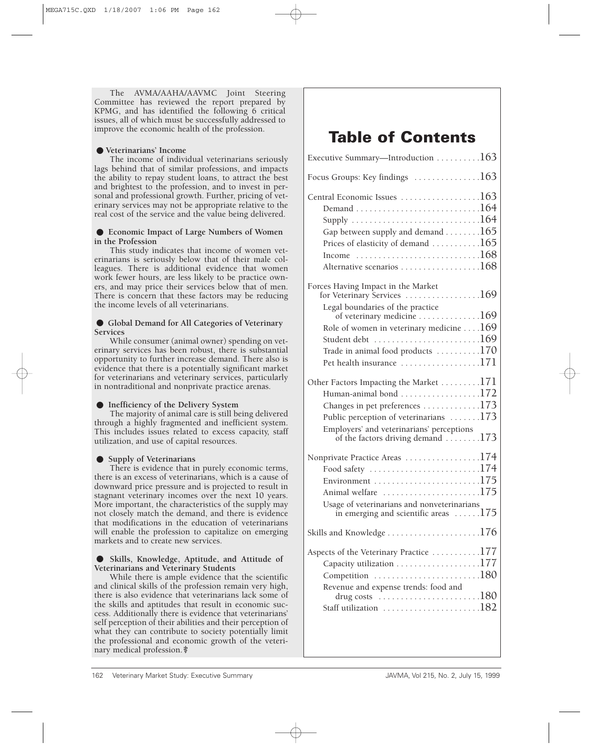The AVMA/AAHA/AAVMC Joint Steering Committee has reviewed the report prepared by KPMG, and has identified the following 6 critical issues, all of which must be successfully addressed to improve the economic health of the profession.

•**Veterinarians' Income** The income of individual veterinarians seriously lags behind that of similar professions, and impacts the ability to repay student loans, to attract the best and brightest to the profession, and to invest in personal and professional growth. Further, pricing of veterinary services may not be appropriate relative to the real cost of the service and the value being delivered.

# • **Economic Impact of Large Numbers of Women in the Profession**

This study indicates that income of women veterinarians is seriously below that of their male colleagues. There is additional evidence that women work fewer hours, are less likely to be practice owners, and may price their services below that of men. There is concern that these factors may be reducing the income levels of all veterinarians.

# • **Global Demand for All Categories of Veterinary Services**

While consumer (animal owner) spending on veterinary services has been robust, there is substantial opportunity to further increase demand. There also is evidence that there is a potentially significant market for veterinarians and veterinary services, particularly in nontraditional and nonprivate practice arenas.

# •**Inefficiency of the Delivery System**

The majority of animal care is still being delivered through a highly fragmented and inefficient system. This includes issues related to excess capacity, staff utilization, and use of capital resources.

# • **Supply of Veterinarians**

There is evidence that in purely economic terms, there is an excess of veterinarians, which is a cause of downward price pressure and is projected to result in stagnant veterinary incomes over the next 10 years. More important, the characteristics of the supply may not closely match the demand, and there is evidence that modifications in the education of veterinarians will enable the profession to capitalize on emerging markets and to create new services.

# • **Skills, Knowledge, Aptitude, and Attitude of Veterinarians and Veterinary Students**

While there is ample evidence that the scientific and clinical skills of the profession remain very high, there is also evidence that veterinarians lack some of the skills and aptitudes that result in economic success. Additionally there is evidence that veterinarians' self perception of their abilities and their perception of what they can contribute to society potentially limit the professional and economic growth of the veterinary medical profession.

# **Table of Contents**

| Executive Summary—Introduction 163                                                                                                                                                                                                                                                                                                                |  |
|---------------------------------------------------------------------------------------------------------------------------------------------------------------------------------------------------------------------------------------------------------------------------------------------------------------------------------------------------|--|
| Focus Groups: Key findings $\dots\dots\dots\dots\dots163$                                                                                                                                                                                                                                                                                         |  |
| Central Economic Issues 163<br>Supply $\ldots \ldots \ldots \ldots \ldots \ldots \ldots \ldots 164$<br>Gap between supply and demand 165<br>Prices of elasticity of demand 165<br>Income<br>Alternative scenarios $\ldots \ldots \ldots \ldots \ldots 168$                                                                                        |  |
| Forces Having Impact in the Market<br>for Veterinary Services 169<br>Legal boundaries of the practice<br>of veterinary medicine 169<br>Role of women in veterinary medicine $\dots$ 169<br>Trade in animal food products $\dots \dots \dots 170$<br>Pet health insurance 171                                                                      |  |
| Other Factors Impacting the Market 171<br>Human-animal bond $\ldots \ldots \ldots \ldots \ldots 172$<br>Changes in pet preferences 173<br>Public perception of veterinarians $\dots \dots 173$<br>Employers' and veterinarians' perceptions<br>of the factors driving demand 173                                                                  |  |
| Nonprivate Practice Areas 174<br>Food safety $\dots \dots \dots \dots \dots \dots \dots \dots 174$<br>Animal welfare $\ldots \ldots \ldots \ldots \ldots \ldots 175$<br>Usage of veterinarians and nonveterinarians<br>in emerging and scientific areas $\dots$ . $175$                                                                           |  |
| Skills and Knowledge $\dots \dots \dots \dots \dots \dots \dots 176$                                                                                                                                                                                                                                                                              |  |
| Aspects of the Veterinary Practice 177<br>Capacity utilization $\ldots \ldots \ldots \ldots \ldots 177$<br>Competition $\ldots \ldots \ldots \ldots \ldots \ldots 180$<br>Revenue and expense trends: food and<br>drug costs $\ldots \ldots \ldots \ldots \ldots \ldots 180$<br>Staff utilization $\ldots \ldots \ldots \ldots \ldots \ldots 182$ |  |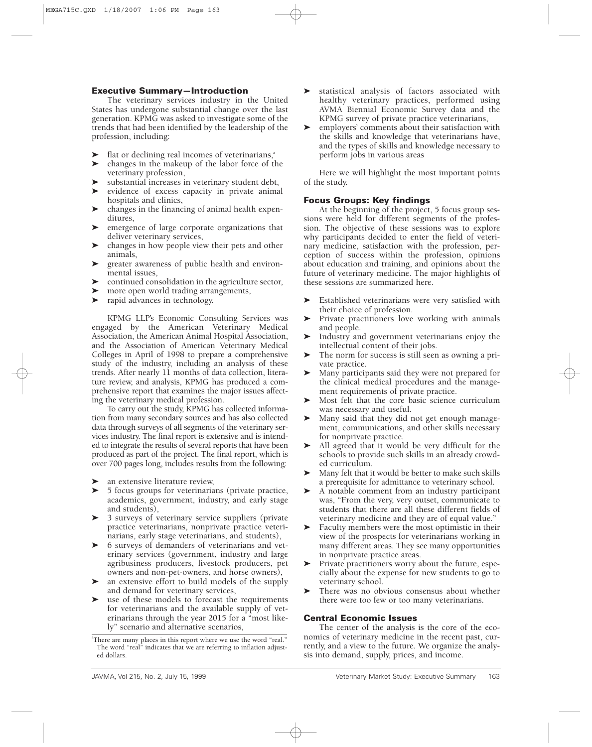# **Executive Summary—Introduction**

The veterinary services industry in the United States has undergone substantial change over the last generation. KPMG was asked to investigate some of the trends that had been identified by the leadership of the profession, including:

- $\blacktriangleright$  flat or declining real incomes of veterinarians, $a^*$
- $\blacktriangleright$  changes in the makeup of the labor force of the veterinary profession,
- 'substantial increases in veterinary student debt,
- ' evidence of excess capacity in private animal hospitals and clinics,
- $\blacktriangleright$  changes in the financing of animal health expenditures,
- ' emergence of large corporate organizations that deliver veterinary services,
- ' changes in how people view their pets and other animals,
- ' greater awareness of public health and environmental issues,
- 'continued consolidation in the agriculture sector,
- 'more open world trading arrangements,
- 'rapid advances in technology.

KPMG LLP's Economic Consulting Services was engaged by the American Veterinary Medical Association, the American Animal Hospital Association, and the Association of American Veterinary Medical Colleges in April of 1998 to prepare a comprehensive study of the industry, including an analysis of these trends. After nearly 11 months of data collection, literature review, and analysis, KPMG has produced a comprehensive report that examines the major issues affecting the veterinary medical profession.

To carry out the study, KPMG has collected information from many secondary sources and has also collected data through surveys of all segments of the veterinary services industry. The final report is extensive and is intended to integrate the results of several reports that have been produced as part of the project. The final report, which is over 700 pages long, includes results from the following:

- 'an extensive literature review,
- $\blacktriangleright$  5 focus groups for veterinarians (private practice, academics, government, industry, and early stage and students),
- > 3 surveys of veterinary service suppliers (private practice veterinarians, nonprivate practice veterinarians, early stage veterinarians, and students),
- $\blacktriangleright$  6 surveys of demanders of veterinarians and veterinary services (government, industry and large agribusiness producers, livestock producers, pet owners and non-pet-owners, and horse owners),
- ' an extensive effort to build models of the supply and demand for veterinary services,
- $\blacktriangleright$  use of these models to forecast the requirements for veterinarians and the available supply of veterinarians through the year 2015 for a "most likely" scenario and alternative scenarios,
- ' statistical analysis of factors associated with healthy veterinary practices, performed using AVMA Biennial Economic Survey data and the KPMG survey of private practice veterinarians,
- ' employers' comments about their satisfaction with the skills and knowledge that veterinarians have, and the types of skills and knowledge necessary to perform jobs in various areas

Here we will highlight the most important points of the study.

# **Focus Groups: Key findings**

At the beginning of the project, 5 focus group sessions were held for different segments of the profession. The objective of these sessions was to explore why participants decided to enter the field of veterinary medicine, satisfaction with the profession, perception of success within the profession, opinions about education and training, and opinions about the future of veterinary medicine. The major highlights of these sessions are summarized here.

- ' Established veterinarians were very satisfied with their choice of profession.
- $\blacktriangleright$  Private practitioners love working with animals and people.
- ' Industry and government veterinarians enjoy the intellectual content of their jobs.
- ' The norm for success is still seen as owning a private practice.
- $\blacktriangleright$  Many participants said they were not prepared for the clinical medical procedures and the management requirements of private practice.
- ' Most felt that the core basic science curriculum was necessary and useful.
- ' Many said that they did not get enough management, communications, and other skills necessary for nonprivate practice.
- ' All agreed that it would be very difficult for the schools to provide such skills in an already crowded curriculum.
- ' Many felt that it would be better to make such skills a prerequisite for admittance to veterinary school.
- ' A notable comment from an industry participant was, "From the very, very outset, communicate to students that there are all these different fields of veterinary medicine and they are of equal value."
- ' Faculty members were the most optimistic in their view of the prospects for veterinarians working in many different areas. They see many opportunities in nonprivate practice areas.
- ' Private practitioners worry about the future, especially about the expense for new students to go to veterinary school.
- ' There was no obvious consensus about whether there were too few or too many veterinarians.

# **Central Economic Issues**

The center of the analysis is the core of the economics of veterinary medicine in the recent past, currently, and a view to the future. We organize the analysis into demand, supply, prices, and income.

a There are many places in this report where we use the word "real." The word "real" indicates that we are referring to inflation adjusted dollars.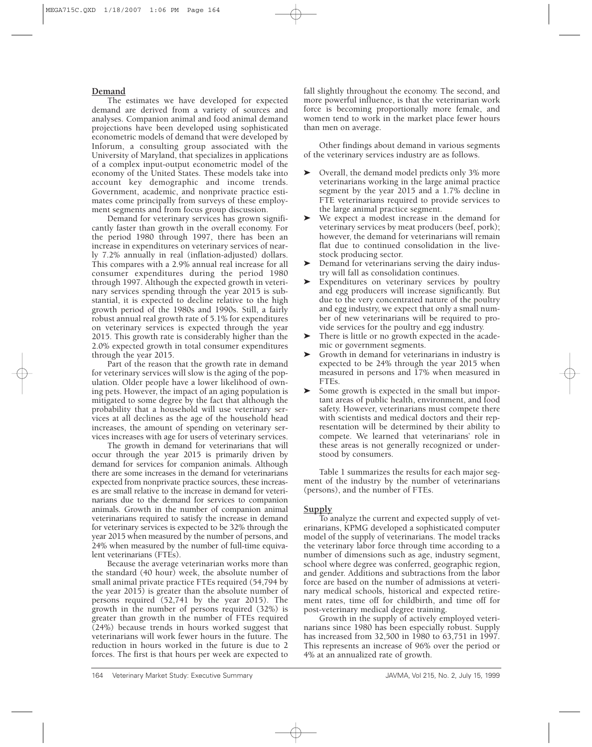# **Demand**

The estimates we have developed for expected demand are derived from a variety of sources and analyses. Companion animal and food animal demand projections have been developed using sophisticated econometric models of demand that were developed by Inforum, a consulting group associated with the University of Maryland, that specializes in applications of a complex input-output econometric model of the economy of the United States. These models take into account key demographic and income trends. Government, academic, and nonprivate practice estimates come principally from surveys of these employment segments and from focus group discussion.

Demand for veterinary services has grown significantly faster than growth in the overall economy. For the period 1980 through 1997, there has been an increase in expenditures on veterinary services of nearly 7.2% annually in real (inflation-adjusted) dollars. This compares with a 2.9% annual real increase for all consumer expenditures during the period 1980 through 1997. Although the expected growth in veterinary services spending through the year 2015 is substantial, it is expected to decline relative to the high growth period of the 1980s and 1990s. Still, a fairly robust annual real growth rate of 5.1% for expenditures on veterinary services is expected through the year 2015. This growth rate is considerably higher than the 2.0% expected growth in total consumer expenditures through the year 2015.

Part of the reason that the growth rate in demand for veterinary services will slow is the aging of the population. Older people have a lower likelihood of owning pets. However, the impact of an aging population is mitigated to some degree by the fact that although the probability that a household will use veterinary services at all declines as the age of the household head increases, the amount of spending on veterinary services increases with age for users of veterinary services.

The growth in demand for veterinarians that will occur through the year 2015 is primarily driven by demand for services for companion animals. Although there are some increases in the demand for veterinarians expected from nonprivate practice sources, these increases are small relative to the increase in demand for veterinarians due to the demand for services to companion animals. Growth in the number of companion animal veterinarians required to satisfy the increase in demand for veterinary services is expected to be 32% through the year 2015 when measured by the number of persons, and 24% when measured by the number of full-time equivalent veterinarians (FTEs).

Because the average veterinarian works more than the standard (40 hour) week, the absolute number of small animal private practice FTEs required (54,794 by the year 2015) is greater than the absolute number of persons required (52,741 by the year 2015). The growth in the number of persons required (32%) is greater than growth in the number of FTEs required (24%) because trends in hours worked suggest that veterinarians will work fewer hours in the future. The reduction in hours worked in the future is due to 2 forces. The first is that hours per week are expected to

fall slightly throughout the economy. The second, and more powerful influence, is that the veterinarian work force is becoming proportionally more female, and women tend to work in the market place fewer hours than men on average.

Other findings about demand in various segments of the veterinary services industry are as follows.

- ' Overall, the demand model predicts only 3% more veterinarians working in the large animal practice segment by the year 2015 and a 1.7% decline in FTE veterinarians required to provide services to the large animal practice segment.
- ' We expect a modest increase in the demand for veterinary services by meat producers (beef, pork); however, the demand for veterinarians will remain flat due to continued consolidation in the livestock producing sector.
- ' Demand for veterinarians serving the dairy industry will fall as consolidation continues.
- ' Expenditures on veterinary services by poultry and egg producers will increase significantly. But due to the very concentrated nature of the poultry and egg industry, we expect that only a small number of new veterinarians will be required to provide services for the poultry and egg industry.
- ' There is little or no growth expected in the academic or government segments.
- ' Growth in demand for veterinarians in industry is expected to be 24% through the year 2015 when measured in persons and 17% when measured in FTEs.
- ' Some growth is expected in the small but important areas of public health, environment, and food safety. However, veterinarians must compete there with scientists and medical doctors and their representation will be determined by their ability to compete. We learned that veterinarians' role in these areas is not generally recognized or understood by consumers.

Table 1 summarizes the results for each major segment of the industry by the number of veterinarians (persons), and the number of FTEs.

# **Supply**

To analyze the current and expected supply of veterinarians, KPMG developed a sophisticated computer model of the supply of veterinarians. The model tracks the veterinary labor force through time according to a number of dimensions such as age, industry segment, school where degree was conferred, geographic region, and gender. Additions and subtractions from the labor force are based on the number of admissions at veterinary medical schools, historical and expected retirement rates, time off for childbirth, and time off for post-veterinary medical degree training.

Growth in the supply of actively employed veterinarians since 1980 has been especially robust. Supply has increased from 32,500 in 1980 to 63,751 in 1997. This represents an increase of 96% over the period or 4% at an annualized rate of growth.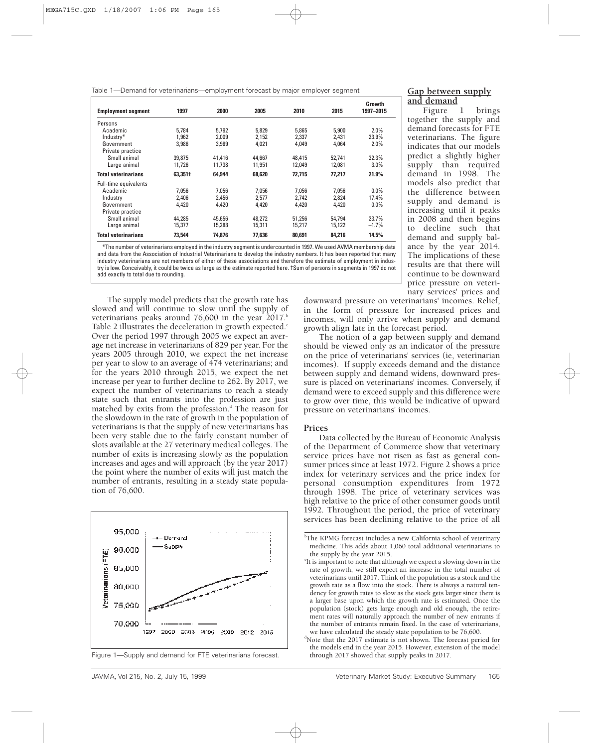Table 1—Demand for veterinarians—employment forecast by major employer segment

| <b>Employment segment</b>  | 1997    | 2000   | 2005   | 2010   | 2015   | Growth<br>1997-2015 |
|----------------------------|---------|--------|--------|--------|--------|---------------------|
| Persons                    |         |        |        |        |        |                     |
| Academic                   | 5.784   | 5.792  | 5.829  | 5.865  | 5.900  | 2.0%                |
| Industry*                  | 1.962   | 2.009  | 2,152  | 2,337  | 2.431  | 23.9%               |
| Government                 | 3,986   | 3,989  | 4,021  | 4,049  | 4.064  | 2.0%                |
| Private practice           |         |        |        |        |        |                     |
| Small animal               | 39.875  | 41.416 | 44.667 | 48.415 | 52.741 | 32.3%               |
| Large animal               | 11.726  | 11.738 | 11.951 | 12.049 | 12.081 | 3.0%                |
| <b>Total veterinarians</b> | 63.351† | 64,944 | 68,620 | 72.715 | 77.217 | 21.9%               |
| Full-time equivalents      |         |        |        |        |        |                     |
| Academic                   | 7.056   | 7.056  | 7.056  | 7.056  | 7.056  | $0.0\%$             |
| Industry                   | 2.406   | 2.456  | 2.577  | 2.742  | 2.824  | 17.4%               |
| Government                 | 4.420   | 4,420  | 4.420  | 4.420  | 4.420  | $0.0\%$             |
| Private practice           |         |        |        |        |        |                     |
| Small animal               | 44.285  | 45.656 | 48.272 | 51.256 | 54.794 | 23.7%               |
| Large animal               | 15.377  | 15.288 | 15,311 | 15,217 | 15.122 | $-1.7\%$            |
| <b>Total veterinarians</b> | 73,544  | 74.876 | 77.636 | 80,691 | 84.216 | 14.5%               |

\*The number of veterinarians employed in the industry segment is undercounted in 1997. We used AVMA membership data and data from the Association of Industrial Veterinarians to develop the industry numbers. It has been reported that many industry veterinarians are not members of either of these associations and therefore the estimate of employment in industry is low. Conceivably, it could be twice as large as the estimate reported here. †Sum of persons in segments in 1997 do not add exactly to total due to rounding.

The supply model predicts that the growth rate has slowed and will continue to slow until the supply of veterinarians peaks around  $76,600$  in the year  $2017$ .<sup>b</sup> Table 2 illustrates the deceleration in growth expected. $\epsilon$ Over the period 1997 through 2005 we expect an average net increase in veterinarians of 829 per year. For the years 2005 through 2010, we expect the net increase per year to slow to an average of 474 veterinarians; and for the years 2010 through 2015, we expect the net increase per year to further decline to 262. By 2017, we expect the number of veterinarians to reach a steady state such that entrants into the profession are just matched by exits from the profession.<sup>d</sup> The reason for the slowdown in the rate of growth in the population of veterinarians is that the supply of new veterinarians has been very stable due to the fairly constant number of slots available at the 27 veterinary medical colleges. The number of exits is increasing slowly as the population increases and ages and will approach (by the year 2017) the point where the number of exits will just match the number of entrants, resulting in a steady state population of 76,600.





#### **Gap between supply and demand**

Figure 1 brings together the supply and demand forecasts for FTE veterinarians. The figure indicates that our models predict a slightly higher supply than required demand in 1998. The models also predict that the difference between supply and demand is increasing until it peaks in 2008 and then begins to decline such that demand and supply balance by the year 2014. The implications of these results are that there will continue to be downward price pressure on veterinary services' prices and

downward pressure on veterinarians' incomes. Relief, in the form of pressure for increased prices and incomes, will only arrive when supply and demand growth align late in the forecast period.

The notion of a gap between supply and demand should be viewed only as an indicator of the pressure on the price of veterinarians' services (ie, veterinarian incomes). If supply exceeds demand and the distance between supply and demand widens, downward pressure is placed on veterinarians' incomes. Conversely, if demand were to exceed supply and this difference were to grow over time, this would be indicative of upward pressure on veterinarians' incomes.

#### **Prices**

Data collected by the Bureau of Economic Analysis of the Department of Commerce show that veterinary service prices have not risen as fast as general consumer prices since at least 1972. Figure 2 shows a price index for veterinary services and the price index for personal consumption expenditures from 1972 through 1998. The price of veterinary services was high relative to the price of other consumer goods until 1992. Throughout the period, the price of veterinary services has been declining relative to the price of all

<sup>&</sup>lt;sup>b</sup>The KPMG forecast includes a new California school of veterinary medicine. This adds about 1,060 total additional veterinarians to the supply by the year 2015.

It is important to note that although we expect a slowing down in the rate of growth, we still expect an increase in the total number of veterinarians until 2017. Think of the population as a stock and the growth rate as a flow into the stock. There is always a natural tendency for growth rates to slow as the stock gets larger since there is a larger base upon which the growth rate is estimated. Once the population (stock) gets large enough and old enough, the retirement rates will naturally approach the number of new entrants if the number of entrants remain fixed. In the case of veterinarians, we have calculated the steady state population to be 76,600.

<sup>&</sup>lt;sup>d</sup>Note that the 2017 estimate is not shown. The forecast period for the models end in the year 2015. However, extension of the model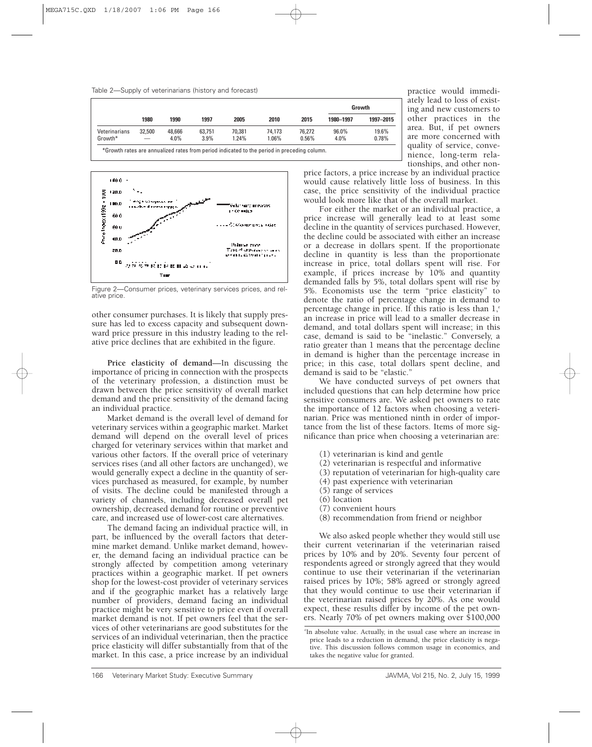

|               |        |        |        |          |          |        |           | Growth    |  |
|---------------|--------|--------|--------|----------|----------|--------|-----------|-----------|--|
|               | 1980   | 1990   | 1997   | 2005     | 2010     | 2015   | 1980-1997 | 1997-2015 |  |
| Veterinarians | 32.500 | 48.666 | 63,751 | 70.381   | 74,173   | 76,272 | 96.0%     | 19.6%     |  |
| Growth*       | -      | 4.0%   | 3.9%   | $1.24\%$ | $1.06\%$ | 0.56%  | 4.0%      | 0.78%     |  |



Figure 2—Consumer prices, veterinary services prices, and relative price.

other consumer purchases. It is likely that supply pressure has led to excess capacity and subsequent downward price pressure in this industry leading to the relative price declines that are exhibited in the figure.

**Price elasticity of demand**—In discussing the importance of pricing in connection with the prospects of the veterinary profession, a distinction must be drawn between the price sensitivity of overall market demand and the price sensitivity of the demand facing an individual practice.

Market demand is the overall level of demand for veterinary services within a geographic market. Market demand will depend on the overall level of prices charged for veterinary services within that market and various other factors. If the overall price of veterinary services rises (and all other factors are unchanged), we would generally expect a decline in the quantity of services purchased as measured, for example, by number of visits. The decline could be manifested through a variety of channels, including decreased overall pet ownership, decreased demand for routine or preventive care, and increased use of lower-cost care alternatives.

The demand facing an individual practice will, in part, be influenced by the overall factors that determine market demand. Unlike market demand, however, the demand facing an individual practice can be strongly affected by competition among veterinary practices within a geographic market. If pet owners shop for the lowest-cost provider of veterinary services and if the geographic market has a relatively large number of providers, demand facing an individual practice might be very sensitive to price even if overall market demand is not. If pet owners feel that the services of other veterinarians are good substitutes for the services of an individual veterinarian, then the practice price elasticity will differ substantially from that of the market. In this case, a price increase by an individual

practice would immediately lead to loss of existing and new customers to other practices in the area. But, if pet owners are more concerned with quality of service, convenience, long-term relationships, and other non-

price factors, a price increase by an individual practice would cause relatively little loss of business. In this case, the price sensitivity of the individual practice would look more like that of the overall market.

For either the market or an individual practice, a price increase will generally lead to at least some decline in the quantity of services purchased. However, the decline could be associated with either an increase or a decrease in dollars spent. If the proportionate decline in quantity is less than the proportionate increase in price, total dollars spent will rise. For example, if prices increase by 10% and quantity demanded falls by 5%, total dollars spent will rise by 5%. Economists use the term "price elasticity" to denote the ratio of percentage change in demand to percentage change in price. If this ratio is less than  $1,^{\circ}$ an increase in price will lead to a smaller decrease in demand, and total dollars spent will increase; in this case, demand is said to be "inelastic." Conversely, a ratio greater than 1 means that the percentage decline in demand is higher than the percentage increase in price; in this case, total dollars spent decline, and demand is said to be "elastic."

We have conducted surveys of pet owners that included questions that can help determine how price sensitive consumers are. We asked pet owners to rate the importance of 12 factors when choosing a veterinarian. Price was mentioned ninth in order of importance from the list of these factors. Items of more significance than price when choosing a veterinarian are:

- (1) veterinarian is kind and gentle
- (2) veterinarian is respectful and informative
- (3) reputation of veterinarian for high-quality care
- (4) past experience with veterinarian
- (5) range of services
- (6) location
- (7) convenient hours
- (8) recommendation from friend or neighbor

We also asked people whether they would still use their current veterinarian if the veterinarian raised prices by 10% and by 20%. Seventy four percent of respondents agreed or strongly agreed that they would continue to use their veterinarian if the veterinarian raised prices by 10%; 58% agreed or strongly agreed that they would continue to use their veterinarian if the veterinarian raised prices by 20%. As one would expect, these results differ by income of the pet owners. Nearly 70% of pet owners making over \$100,000

e In absolute value. Actually, in the usual case where an increase in price leads to a reduction in demand, the price elasticity is negative. This discussion follows common usage in economics, and takes the negative value for granted.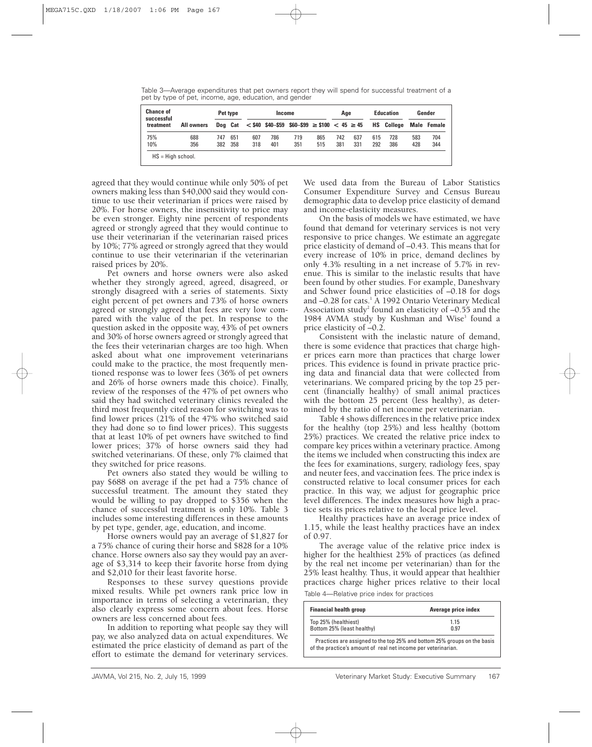Table 3—Average expenditures that pet owners report they will spend for successful treatment of a pet by type of pet, income, age, education, and gender

| <b>Chance of</b><br>Pet type<br>successful |     |     |     | Income                                                               |     |     | Aae |     |     | <b>Education</b>  | Gender |             |     |
|--------------------------------------------|-----|-----|-----|----------------------------------------------------------------------|-----|-----|-----|-----|-----|-------------------|--------|-------------|-----|
| All owners<br>treatment                    |     |     |     | Dog Cat $\lt$ \$40 \$40-\$59 \$60-\$99 $\ge$ \$100 $\lt$ 45 $\ge$ 45 |     |     |     |     |     | <b>HS</b> College |        | Male Female |     |
| 75%                                        | 688 | 747 | 651 | 607                                                                  | 786 | 719 | 865 | 742 | 637 | 615               | 728    | 583         | 704 |
| 10%                                        | 356 | 382 | 358 | 318                                                                  | 401 | 351 | 515 | 381 | 331 | 292               | 386    | 428         | 344 |

agreed that they would continue while only 50% of pet owners making less than \$40,000 said they would continue to use their veterinarian if prices were raised by 20%. For horse owners, the insensitivity to price may be even stronger. Eighty nine percent of respondents agreed or strongly agreed that they would continue to use their veterinarian if the veterinarian raised prices by 10%; 77% agreed or strongly agreed that they would continue to use their veterinarian if the veterinarian raised prices by 20%.

Pet owners and horse owners were also asked whether they strongly agreed, agreed, disagreed, or strongly disagreed with a series of statements. Sixty eight percent of pet owners and 73% of horse owners agreed or strongly agreed that fees are very low compared with the value of the pet. In response to the question asked in the opposite way, 43% of pet owners and 30% of horse owners agreed or strongly agreed that the fees their veterinarian charges are too high. When asked about what one improvement veterinarians could make to the practice, the most frequently mentioned response was to lower fees (36% of pet owners and 26% of horse owners made this choice). Finally, review of the responses of the 47% of pet owners who said they had switched veterinary clinics revealed the third most frequently cited reason for switching was to find lower prices (21% of the 47% who switched said they had done so to find lower prices). This suggests that at least 10% of pet owners have switched to find lower prices; 37% of horse owners said they had switched veterinarians. Of these, only 7% claimed that they switched for price reasons.

Pet owners also stated they would be willing to pay \$688 on average if the pet had a 75% chance of successful treatment. The amount they stated they would be willing to pay dropped to \$356 when the chance of successful treatment is only 10%. Table 3 includes some interesting differences in these amounts by pet type, gender, age, education, and income.

Horse owners would pay an average of \$1,827 for a 75% chance of curing their horse and \$828 for a 10% chance. Horse owners also say they would pay an average of \$3,314 to keep their favorite horse from dying and \$2,010 for their least favorite horse.

Responses to these survey questions provide mixed results. While pet owners rank price low in importance in terms of selecting a veterinarian, they also clearly express some concern about fees. Horse owners are less concerned about fees.

In addition to reporting what people say they will pay, we also analyzed data on actual expenditures. We estimated the price elasticity of demand as part of the effort to estimate the demand for veterinary services.

We used data from the Bureau of Labor Statistics Consumer Expenditure Survey and Census Bureau demographic data to develop price elasticity of demand and income-elasticity measures.

On the basis of models we have estimated, we have found that demand for veterinary services is not very responsive to price changes. We estimate an aggregate price elasticity of demand of –0.43. This means that for every increase of 10% in price, demand declines by only 4.3% resulting in a net increase of 5.7% in revenue. This is similar to the inelastic results that have been found by other studies. For example, Daneshvary and Schwer found price elasticities of –0.18 for dogs and -0.28 for cats.<sup>1</sup> A 1992 Ontario Veterinary Medical Association study<sup>2</sup> found an elasticity of  $-0.55$  and the 1984 AVMA study by Kushman and Wise<sup>3</sup> found a price elasticity of –0.2.

Consistent with the inelastic nature of demand, there is some evidence that practices that charge higher prices earn more than practices that charge lower prices. This evidence is found in private practice pricing data and financial data that were collected from veterinarians. We compared pricing by the top 25 percent (financially healthy) of small animal practices with the bottom 25 percent (less healthy), as determined by the ratio of net income per veterinarian.

Table 4 shows differences in the relative price index for the healthy (top 25%) and less healthy (bottom 25%) practices. We created the relative price index to compare key prices within a veterinary practice. Among the items we included when constructing this index are the fees for examinations, surgery, radiology fees, spay and neuter fees, and vaccination fees. The price index is constructed relative to local consumer prices for each practice. In this way, we adjust for geographic price level differences. The index measures how high a practice sets its prices relative to the local price level.

Healthy practices have an average price index of 1.15, while the least healthy practices have an index of 0.97.

The average value of the relative price index is higher for the healthiest 25% of practices (as defined by the real net income per veterinarian) than for the 25% least healthy. Thus, it would appear that healthier practices charge higher prices relative to their local

Table 4—Relative price index for practices

| <b>Financial health group</b> | Average price index |
|-------------------------------|---------------------|
| Top 25% (healthiest)          | 1.15                |
| Bottom 25% (least healthy)    | 0.97                |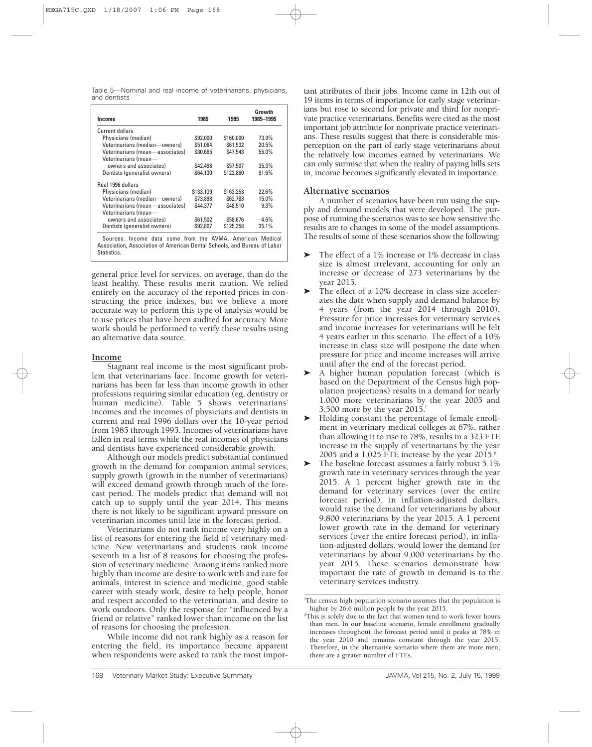Table 5—Nominal and real income of veterinarians, physicians, and dentists

| Income                          | 1985      | 1995      | Growth<br>1985–1995 |
|---------------------------------|-----------|-----------|---------------------|
| <b>Current dollars</b>          |           |           |                     |
| Physicians (median)             | \$92,000  | \$160,000 | 73.9%               |
| Veterinarians (median-owners)   | \$51.064  | \$61.532  | 20.5%               |
| Veterinarians (mean-associates) | \$30.665  | \$47.543  | 55.0%               |
| Veterinarians (mean-            |           |           |                     |
| owners and associates)          | \$42,498  | \$57,507  | 35.3%               |
| Dentists (generalist owners)    | \$64,130  | \$122,860 | 91.6%               |
| Real 1996 dollars               |           |           |                     |
| Physicians (median)             | \$133,139 | \$163,253 | 22.6%               |
| Veterinarians (median-owners)   | \$73.898  | \$62,783  | $-15.0%$            |
| Veterinarians (mean-associates) | \$44,377  | \$48,510  | 9.3%                |
| Veterinarians (mean-            |           |           |                     |
| owners and associates)          | \$61,502  | \$58,676  | $-4.6%$             |
| Dentists (generalist owners)    | \$92,807  | \$125,358 | 35.1%               |

general price level for services, on average, than do the least healthy. These results merit caution. We relied entirely on the accuracy of the reported prices in constructing the price indexes, but we believe a more accurate way to perform this type of analysis would be to use prices that have been audited for accuracy. More work should be performed to verify these results using an alternative data source.

# **Income**

Stagnant real income is the most significant problem that veterinarians face. Income growth for veterinarians has been far less than income growth in other professions requiring similar education (eg, dentistry or human medicine). Table 5 shows veterinarians' incomes and the incomes of physicians and dentists in current and real 1996 dollars over the 10-year period from 1985 through 1995. Incomes of veterinarians have fallen in real terms while the real incomes of physicians and dentists have experienced considerable growth.

Although our models predict substantial continued growth in the demand for companion animal services, supply growth (growth in the number of veterinarians) will exceed demand growth through much of the forecast period. The models predict that demand will not catch up to supply until the year 2014. This means there is not likely to be significant upward pressure on veterinarian incomes until late in the forecast period.

Veterinarians do not rank income very highly on a list of reasons for entering the field of veterinary medicine. New veterinarians and students rank income seventh in a list of 8 reasons for choosing the profession of veterinary medicine. Among items ranked more highly than income are desire to work with and care for animals, interest in science and medicine, good stable career with steady work, desire to help people, honor and respect accorded to the veterinarian, and desire to work outdoors. Only the response for "influenced by a friend or relative" ranked lower than income on the list of reasons for choosing the profession.

While income did not rank highly as a reason for entering the field, its importance became apparent when respondents were asked to rank the most impor-

tant attributes of their jobs. Income came in 12th out of 19 items in terms of importance for early stage veterinarians but rose to second for private and third for nonprivate practice veterinarians. Benefits were cited as the most important job attribute for nonprivate practice veterinarians. These results suggest that there is considerable misperception on the part of early stage veterinarians about the relatively low incomes earned by veterinarians. We can only surmise that when the reality of paying bills sets in, income becomes significantly elevated in importance.

# **Alternative scenarios**

A number of scenarios have been run using the supply and demand models that were developed. The purpose of running the scenarios was to see how sensitive the results are to changes in some of the model assumptions. The results of some of these scenarios show the following:

- ' The effect of a 1% increase or 1% decrease in class size is almost irrelevant, accounting for only an increase or decrease of 273 veterinarians by the year 2015.
- ' The effect of a 10% decrease in class size accelerates the date when supply and demand balance by 4 years (from the year 2014 through 2010). Pressure for price increases for veterinary services and income increases for veterinarians will be felt 4 years earlier in this scenario. The effect of a 10% increase in class size will postpone the date when pressure for price and income increases will arrive until after the end of the forecast period.
- ' A higher human population forecast (which is based on the Department of the Census high population projections) results in a demand for nearly 1,000 more veterinarians by the year 2005 and 3,500 more by the year  $2015<sup>1</sup>$
- ' Holding constant the percentage of female enrollment in veterinary medical colleges at 67%, rather than allowing it to rise to 78%, results in a 323 FTE increase in the supply of veterinarians by the year 2005 and a 1,025 FTE increase by the year  $2015$ .<sup>g</sup>
- ' The baseline forecast assumes a fairly robust 5.1% growth rate in veterinary services through the year 2015. A 1 percent higher growth rate in the demand for veterinary services (over the entire forecast period), in inflation-adjusted dollars, would raise the demand for veterinarians by about 9,800 veterinarians by the year 2015. A 1 percent lower growth rate in the demand for veterinary services (over the entire forecast period), in inflation-adjusted dollars, would lower the demand for veterinarians by about 9,000 veterinarians by the year 2015. These scenarios demonstrate how important the rate of growth in demand is to the veterinary services industry.

f The census high population scenario assumes that the population is higher by 26.6 million people by the year 2015.

<sup>&</sup>lt;sup>8</sup>This is solely due to the fact that women tend to work fewer hours than men. In our baseline scenario, female enrollment gradually increases throughout the forecast period until it peaks at 78% in the year 2010 and remains constant through the year 2015. Therefore, in the alternative scenario where there are more men, there are a greater number of FTEs.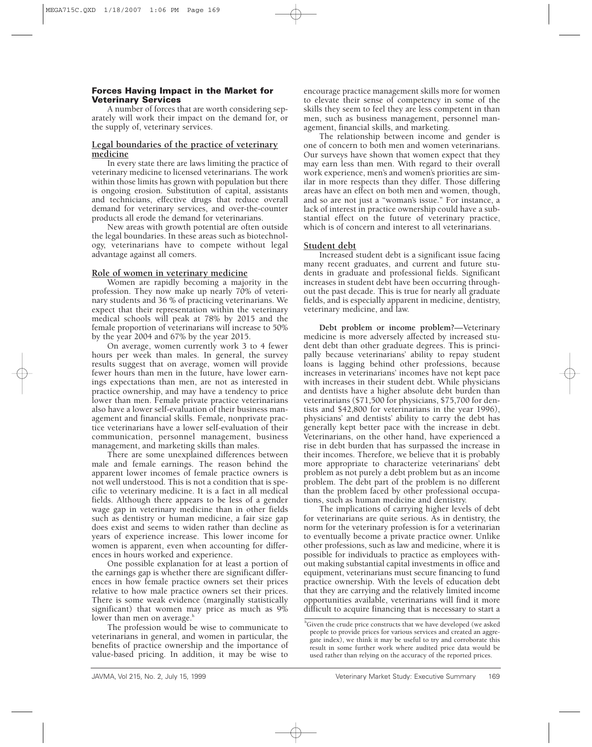# **Forces Having Impact in the Market for Veterinary Services**

A number of forces that are worth considering separately will work their impact on the demand for, or the supply of, veterinary services.

# **Legal boundaries of the practice of veterinary medicine**

In every state there are laws limiting the practice of veterinary medicine to licensed veterinarians. The work within those limits has grown with population but there is ongoing erosion. Substitution of capital, assistants and technicians, effective drugs that reduce overall demand for veterinary services, and over-the-counter products all erode the demand for veterinarians.

New areas with growth potential are often outside the legal boundaries. In these areas such as biotechnology, veterinarians have to compete without legal advantage against all comers.

# **Role of women in veterinary medicine**

Women are rapidly becoming a majority in the profession. They now make up nearly 70% of veterinary students and 36 % of practicing veterinarians. We expect that their representation within the veterinary medical schools will peak at 78% by 2015 and the female proportion of veterinarians will increase to 50% by the year 2004 and 67% by the year 2015.

On average, women currently work 3 to 4 fewer hours per week than males. In general, the survey results suggest that on average, women will provide fewer hours than men in the future, have lower earnings expectations than men, are not as interested in practice ownership, and may have a tendency to price lower than men. Female private practice veterinarians also have a lower self-evaluation of their business management and financial skills. Female, nonprivate practice veterinarians have a lower self-evaluation of their communication, personnel management, business management, and marketing skills than males.

There are some unexplained differences between male and female earnings. The reason behind the apparent lower incomes of female practice owners is not well understood. This is not a condition that is specific to veterinary medicine. It is a fact in all medical fields. Although there appears to be less of a gender wage gap in veterinary medicine than in other fields such as dentistry or human medicine, a fair size gap does exist and seems to widen rather than decline as years of experience increase. This lower income for women is apparent, even when accounting for differences in hours worked and experience.

One possible explanation for at least a portion of the earnings gap is whether there are significant differences in how female practice owners set their prices relative to how male practice owners set their prices. There is some weak evidence (marginally statistically significant) that women may price as much as 9% lower than men on average.<sup>h</sup>

The profession would be wise to communicate to veterinarians in general, and women in particular, the benefits of practice ownership and the importance of value-based pricing. In addition, it may be wise to

encourage practice management skills more for women to elevate their sense of competency in some of the skills they seem to feel they are less competent in than men, such as business management, personnel management, financial skills, and marketing.

The relationship between income and gender is one of concern to both men and women veterinarians. Our surveys have shown that women expect that they may earn less than men. With regard to their overall work experience, men's and women's priorities are similar in more respects than they differ. Those differing areas have an effect on both men and women, though, and so are not just a "woman's issue." For instance, a lack of interest in practice ownership could have a substantial effect on the future of veterinary practice, which is of concern and interest to all veterinarians.

# **Student debt**

Increased student debt is a significant issue facing many recent graduates, and current and future students in graduate and professional fields. Significant increases in student debt have been occurring throughout the past decade. This is true for nearly all graduate fields, and is especially apparent in medicine, dentistry, veterinary medicine, and law.

**Debt problem or income problem?**—Veterinary medicine is more adversely affected by increased student debt than other graduate degrees. This is principally because veterinarians' ability to repay student loans is lagging behind other professions, because increases in veterinarians' incomes have not kept pace with increases in their student debt. While physicians and dentists have a higher absolute debt burden than veterinarians (\$71,500 for physicians, \$75,700 for dentists and \$42,800 for veterinarians in the year 1996), physicians' and dentists' ability to carry the debt has generally kept better pace with the increase in debt. Veterinarians, on the other hand, have experienced a rise in debt burden that has surpassed the increase in their incomes. Therefore, we believe that it is probably more appropriate to characterize veterinarians' debt problem as not purely a debt problem but as an income problem. The debt part of the problem is no different than the problem faced by other professional occupations, such as human medicine and dentistry.

The implications of carrying higher levels of debt for veterinarians are quite serious. As in dentistry, the norm for the veterinary profession is for a veterinarian to eventually become a private practice owner. Unlike other professions, such as law and medicine, where it is possible for individuals to practice as employees without making substantial capital investments in office and equipment, veterinarians must secure financing to fund practice ownership. With the levels of education debt that they are carrying and the relatively limited income opportunities available, veterinarians will find it more difficult to acquire financing that is necessary to start a

<sup>&</sup>lt;sup>h</sup>Given the crude price constructs that we have developed (we asked people to provide prices for various services and created an aggregate index), we think it may be useful to try and corroborate this result in some further work where audited price data would be used rather than relying on the accuracy of the reported prices.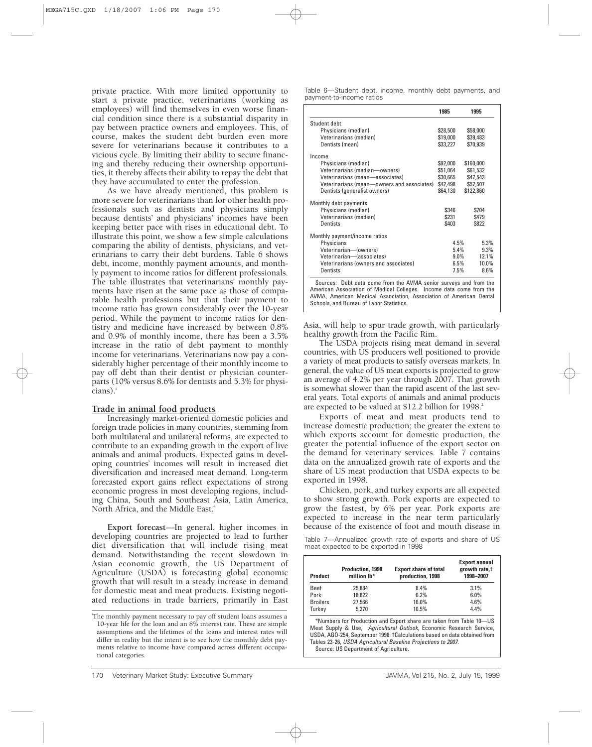private practice. With more limited opportunity to start a private practice, veterinarians (working as employees) will find themselves in even worse financial condition since there is a substantial disparity in pay between practice owners and employees. This, of course, makes the student debt burden even more severe for veterinarians because it contributes to a vicious cycle. By limiting their ability to secure financing and thereby reducing their ownership opportunities, it thereby affects their ability to repay the debt that they have accumulated to enter the profession.

As we have already mentioned, this problem is more severe for veterinarians than for other health professionals such as dentists and physicians simply because dentists' and physicians' incomes have been keeping better pace with rises in educational debt. To illustrate this point, we show a few simple calculations comparing the ability of dentists, physicians, and veterinarians to carry their debt burdens. Table 6 shows debt, income, monthly payment amounts, and monthly payment to income ratios for different professionals. The table illustrates that veterinarians' monthly payments have risen at the same pace as those of comparable health professions but that their payment to income ratio has grown considerably over the 10-year period. While the payment to income ratios for dentistry and medicine have increased by between 0.8% and 0.9% of monthly income, there has been a 3.5% increase in the ratio of debt payment to monthly income for veterinarians. Veterinarians now pay a considerably higher percentage of their monthly income to pay off debt than their dentist or physician counterparts (10% versus 8.6% for dentists and 5.3% for physi $cians)$ .

# **Trade in animal food products**

Increasingly market-oriented domestic policies and foreign trade policies in many countries, stemming from both multilateral and unilateral reforms, are expected to contribute to an expanding growth in the export of live animals and animal products. Expected gains in developing countries' incomes will result in increased diet diversification and increased meat demand. Long-term forecasted export gains reflect expectations of strong economic progress in most developing regions, including China, South and Southeast Asia, Latin America, North Africa, and the Middle East.<sup>4</sup>

**Export forecast**—In general, higher incomes in developing countries are projected to lead to further diet diversification that will include rising meat demand. Notwithstanding the recent slowdown in Asian economic growth, the US Department of Agriculture (USDA) is forecasting global economic growth that will result in a steady increase in demand for domestic meat and meat products. Existing negotiated reductions in trade barriers, primarily in East

Table 6—Student debt, income, monthly debt payments, and payment-to-income ratios

|                                                                                                                                                                                                                | 1985     | 1995      |
|----------------------------------------------------------------------------------------------------------------------------------------------------------------------------------------------------------------|----------|-----------|
| Student debt                                                                                                                                                                                                   |          |           |
| Physicians (median)                                                                                                                                                                                            | \$28,500 | \$58,000  |
| Veterinarians (median)                                                                                                                                                                                         | \$19,000 | \$39,483  |
| Dentists (mean)                                                                                                                                                                                                | \$33,227 | \$70,939  |
| Income                                                                                                                                                                                                         |          |           |
| Physicians (median)                                                                                                                                                                                            | \$92,000 | \$160,000 |
| Veterinarians (median-owners)                                                                                                                                                                                  | \$51,064 | \$61,532  |
| Veterinarians (mean-associates)                                                                                                                                                                                | \$30,665 | \$47,543  |
| Veterinarians (mean-owners and associates)                                                                                                                                                                     | \$42,498 | \$57,507  |
| Dentists (generalist owners)                                                                                                                                                                                   | \$64,130 | \$122,860 |
| Monthly debt payments                                                                                                                                                                                          |          |           |
| Physicians (median)                                                                                                                                                                                            | \$346    | \$704     |
| Veterinarians (median)                                                                                                                                                                                         | \$231    | \$479     |
| <b>Dentists</b>                                                                                                                                                                                                | \$403    | \$822     |
| Monthly payment/income ratios                                                                                                                                                                                  |          |           |
| Physicians                                                                                                                                                                                                     | 4.5%     | 5.3%      |
| Veterinarian-(owners)                                                                                                                                                                                          | 5.4%     | 9.3%      |
| Veterinarian-lassociates)                                                                                                                                                                                      | $9.0\%$  | 12.1%     |
| Veterinarians (owners and associates)                                                                                                                                                                          | 6.5%     | 10.0%     |
| Dentists                                                                                                                                                                                                       | 7.5%     | 8.6%      |
| Sources: Debt data come from the AVMA senior surveys and from the<br>American Association of Medical Colleges. Income data come from the<br>AVMA, American Medical Association, Association of American Dental |          |           |

Asia, will help to spur trade growth, with particularly healthy growth from the Pacific Rim.

Schools, and Bureau of Labor Statistics.

The USDA projects rising meat demand in several countries, with US producers well positioned to provide a variety of meat products to satisfy overseas markets. In general, the value of US meat exports is projected to grow an average of 4.2% per year through 2007. That growth is somewhat slower than the rapid ascent of the last several years. Total exports of animals and animal products are expected to be valued at \$12.2 billion for 1998.<sup>2</sup>

Exports of meat and meat products tend to increase domestic production; the greater the extent to which exports account for domestic production, the greater the potential influence of the export sector on the demand for veterinary services. Table 7 contains data on the annualized growth rate of exports and the share of US meat production that USDA expects to be exported in 1998.

Chicken, pork, and turkey exports are all expected to show strong growth. Pork exports are expected to grow the fastest, by 6% per year. Pork exports are expected to increase in the near term particularly because of the existence of foot and mouth disease in

Table 7—Annualized growth rate of exports and share of US meat expected to be exported in 1998

| <b>Product</b>  | Production, 1998<br>million lb* | <b>Export share of total</b><br>production, 1998 | <b>Export annual</b><br>growth rate,t<br>1998-2007 |
|-----------------|---------------------------------|--------------------------------------------------|----------------------------------------------------|
| <b>Beef</b>     | 25.884                          | 8.4%                                             | 3.1%                                               |
| Pork            | 18.822                          | 6.2%                                             | 6.0%                                               |
| <b>Broilers</b> | 27.566                          | 16.0%                                            | 4.6%                                               |
| Turkey          | 5.270                           | 10.5%                                            | 4.4%                                               |

eptember 1998. †Calculations based on data obtained from Tables 23-26, USDA Agricultural Baseline Projections to 2007. Source: US Department of Agriculture**.**

i The monthly payment necessary to pay off student loans assumes a 10-year life for the loan and an 8% interest rate. These are simple assumptions and the lifetimes of the loans and interest rates will differ in reality but the intent is to see how the monthly debt payments relative to income have compared across different occupational categories.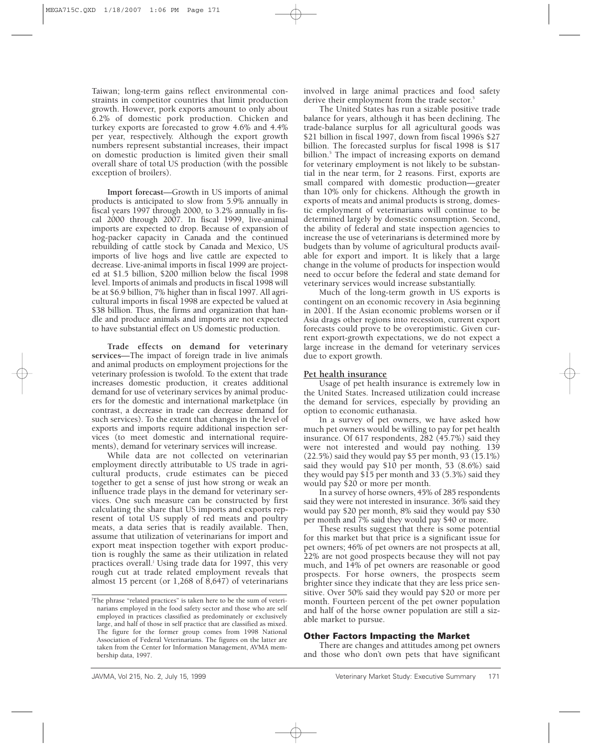Taiwan; long-term gains reflect environmental constraints in competitor countries that limit production growth. However, pork exports amount to only about 6.2% of domestic pork production. Chicken and turkey exports are forecasted to grow 4.6% and 4.4% per year, respectively. Although the export growth numbers represent substantial increases, their impact on domestic production is limited given their small overall share of total US production (with the possible exception of broilers).

**Import forecast**—Growth in US imports of animal products is anticipated to slow from 5.9% annually in fiscal years 1997 through 2000, to 3.2% annually in fiscal 2000 through 2007. In fiscal 1999, live-animal imports are expected to drop. Because of expansion of hog-packer capacity in Canada and the continued rebuilding of cattle stock by Canada and Mexico, US imports of live hogs and live cattle are expected to decrease. Live-animal imports in fiscal 1999 are projected at \$1.5 billion, \$200 million below the fiscal 1998 level. Imports of animals and products in fiscal 1998 will be at \$6.9 billion, 7% higher than in fiscal 1997. All agricultural imports in fiscal 1998 are expected be valued at \$38 billion. Thus, the firms and organization that handle and produce animals and imports are not expected to have substantial effect on US domestic production.

**Trade effects on demand for veterinary services**—The impact of foreign trade in live animals and animal products on employment projections for the veterinary profession is twofold. To the extent that trade increases domestic production, it creates additional demand for use of veterinary services by animal producers for the domestic and international marketplace (in contrast, a decrease in trade can decrease demand for such services). To the extent that changes in the level of exports and imports require additional inspection services (to meet domestic and international requirements), demand for veterinary services will increase.

While data are not collected on veterinarian employment directly attributable to US trade in agricultural products, crude estimates can be pieced together to get a sense of just how strong or weak an influence trade plays in the demand for veterinary services. One such measure can be constructed by first calculating the share that US imports and exports represent of total US supply of red meats and poultry meats, a data series that is readily available. Then, assume that utilization of veterinarians for import and export meat inspection together with export production is roughly the same as their utilization in related practices overall.<sup>j</sup> Using trade data for 1997, this very rough cut at trade related employment reveals that almost 15 percent (or 1,268 of 8,647) of veterinarians

involved in large animal practices and food safety derive their employment from the trade sector.<sup>5</sup>

The United States has run a sizable positive trade balance for years, although it has been declining. The trade-balance surplus for all agricultural goods was \$21 billion in fiscal 1997, down from fiscal 1996's \$27 billion. The forecasted surplus for fiscal 1998 is \$17 billion.<sup>5</sup> The impact of increasing exports on demand for veterinary employment is not likely to be substantial in the near term, for 2 reasons. First, exports are small compared with domestic production—greater than 10% only for chickens. Although the growth in exports of meats and animal products is strong, domestic employment of veterinarians will continue to be determined largely by domestic consumption. Second, the ability of federal and state inspection agencies to increase the use of veterinarians is determined more by budgets than by volume of agricultural products available for export and import. It is likely that a large change in the volume of products for inspection would need to occur before the federal and state demand for veterinary services would increase substantially.

Much of the long-term growth in US exports is contingent on an economic recovery in Asia beginning in 2001. If the Asian economic problems worsen or if Asia drags other regions into recession, current export forecasts could prove to be overoptimistic. Given current export-growth expectations, we do not expect a large increase in the demand for veterinary services due to export growth.

# **Pet health insurance**

Usage of pet health insurance is extremely low in the United States. Increased utilization could increase the demand for services, especially by providing an option to economic euthanasia.

In a survey of pet owners, we have asked how much pet owners would be willing to pay for pet health insurance. Of 617 respondents, 282 (45.7%) said they were not interested and would pay nothing. 139  $(22.5\%)$  said they would pay \$5 per month, 93  $(15.1\%)$ said they would pay \$10 per month, 53 (8.6%) said they would pay \$15 per month and 33 (5.3%) said they would pay \$20 or more per month.

In a survey of horse owners, 45% of 285 respondents said they were not interested in insurance. 36% said they would pay \$20 per month, 8% said they would pay \$30 per month and 7% said they would pay \$40 or more.

These results suggest that there is some potential for this market but that price is a significant issue for pet owners; 46% of pet owners are not prospects at all, 22% are not good prospects because they will not pay much, and 14% of pet owners are reasonable or good prospects. For horse owners, the prospects seem brighter since they indicate that they are less price sensitive. Over 50% said they would pay \$20 or more per month. Fourteen percent of the pet owner population and half of the horse owner population are still a sizable market to pursue.

# **Other Factors Impacting the Market**

There are changes and attitudes among pet owners and those who don't own pets that have significant

j The phrase "related practices" is taken here to be the sum of veterinarians employed in the food safety sector and those who are self employed in practices classified as predominately or exclusively large, and half of those in self practice that are classified as mixed. The figure for the former group comes from 1998 National Association of Federal Veterinarians. The figures on the latter are taken from the Center for Information Management, AVMA membership data, 1997.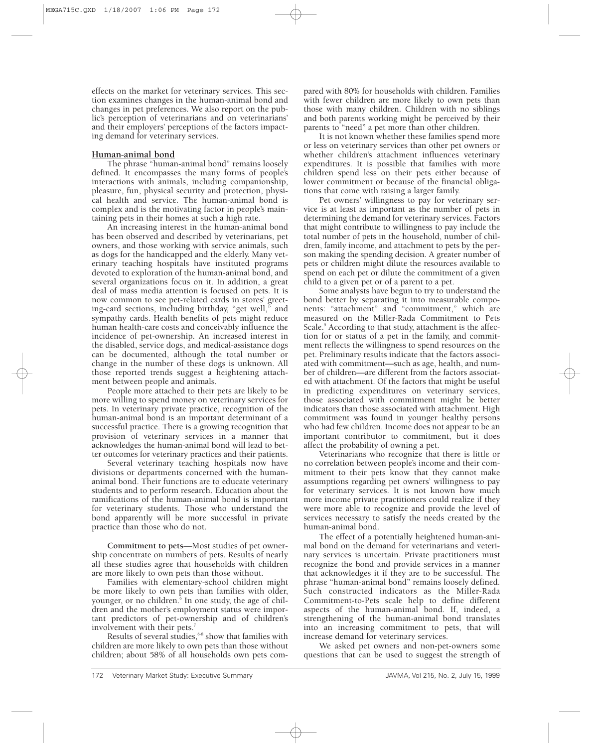effects on the market for veterinary services. This section examines changes in the human-animal bond and changes in pet preferences. We also report on the public's perception of veterinarians and on veterinarians' and their employers' perceptions of the factors impacting demand for veterinary services.

# **Human-animal bond**

The phrase "human-animal bond" remains loosely defined. It encompasses the many forms of people's interactions with animals, including companionship, pleasure, fun, physical security and protection, physical health and service. The human-animal bond is complex and is the motivating factor in people's maintaining pets in their homes at such a high rate.

An increasing interest in the human-animal bond has been observed and described by veterinarians, pet owners, and those working with service animals, such as dogs for the handicapped and the elderly. Many veterinary teaching hospitals have instituted programs devoted to exploration of the human-animal bond, and several organizations focus on it. In addition, a great deal of mass media attention is focused on pets. It is now common to see pet-related cards in stores' greeting-card sections, including birthday, "get well," and sympathy cards. Health benefits of pets might reduce human health-care costs and conceivably influence the incidence of pet-ownership. An increased interest in the disabled, service dogs, and medical-assistance dogs can be documented, although the total number or change in the number of these dogs is unknown. All those reported trends suggest a heightening attachment between people and animals.

People more attached to their pets are likely to be more willing to spend money on veterinary services for pets. In veterinary private practice, recognition of the human-animal bond is an important determinant of a successful practice. There is a growing recognition that provision of veterinary services in a manner that acknowledges the human-animal bond will lead to better outcomes for veterinary practices and their patients.

Several veterinary teaching hospitals now have divisions or departments concerned with the humananimal bond. Their functions are to educate veterinary students and to perform research. Education about the ramifications of the human-animal bond is important for veterinary students. Those who understand the bond apparently will be more successful in private practice than those who do not.

**Commitment to pets**—Most studies of pet ownership concentrate on numbers of pets. Results of nearly all these studies agree that households with children are more likely to own pets than those without.

Families with elementary-school children might be more likely to own pets than families with older, younger, or no children.<sup>6</sup> In one study, the age of children and the mother's employment status were important predictors of pet-ownership and of children's involvement with their pets.<sup>7</sup>

Results of several studies,<sup>68</sup> show that families with children are more likely to own pets than those without children; about 58% of all households own pets compared with 80% for households with children. Families with fewer children are more likely to own pets than those with many children. Children with no siblings and both parents working might be perceived by their parents to "need" a pet more than other children.

It is not known whether these families spend more or less on veterinary services than other pet owners or whether children's attachment influences veterinary expenditures. It is possible that families with more children spend less on their pets either because of lower commitment or because of the financial obligations that come with raising a larger family.

Pet owners' willingness to pay for veterinary service is at least as important as the number of pets in determining the demand for veterinary services. Factors that might contribute to willingness to pay include the total number of pets in the household, number of children, family income, and attachment to pets by the person making the spending decision. A greater number of pets or children might dilute the resources available to spend on each pet or dilute the commitment of a given child to a given pet or of a parent to a pet.

Some analysts have begun to try to understand the bond better by separating it into measurable components: "attachment" and "commitment," which are measured on the Miller-Rada Commitment to Pets Scale.<sup>9</sup> According to that study, attachment is the affection for or status of a pet in the family, and commitment reflects the willingness to spend resources on the pet. Preliminary results indicate that the factors associated with commitment—such as age, health, and number of children—are different from the factors associated with attachment. Of the factors that might be useful in predicting expenditures on veterinary services, those associated with commitment might be better indicators than those associated with attachment. High commitment was found in younger healthy persons who had few children. Income does not appear to be an important contributor to commitment, but it does affect the probability of owning a pet.

Veterinarians who recognize that there is little or no correlation between people's income and their commitment to their pets know that they cannot make assumptions regarding pet owners' willingness to pay for veterinary services. It is not known how much more income private practitioners could realize if they were more able to recognize and provide the level of services necessary to satisfy the needs created by the human-animal bond.

The effect of a potentially heightened human-animal bond on the demand for veterinarians and veterinary services is uncertain. Private practitioners must recognize the bond and provide services in a manner that acknowledges it if they are to be successful. The phrase "human-animal bond" remains loosely defined. Such constructed indicators as the Miller-Rada Commitment-to-Pets scale help to define different aspects of the human-animal bond. If, indeed, a strengthening of the human-animal bond translates into an increasing commitment to pets, that will increase demand for veterinary services.

We asked pet owners and non-pet-owners some questions that can be used to suggest the strength of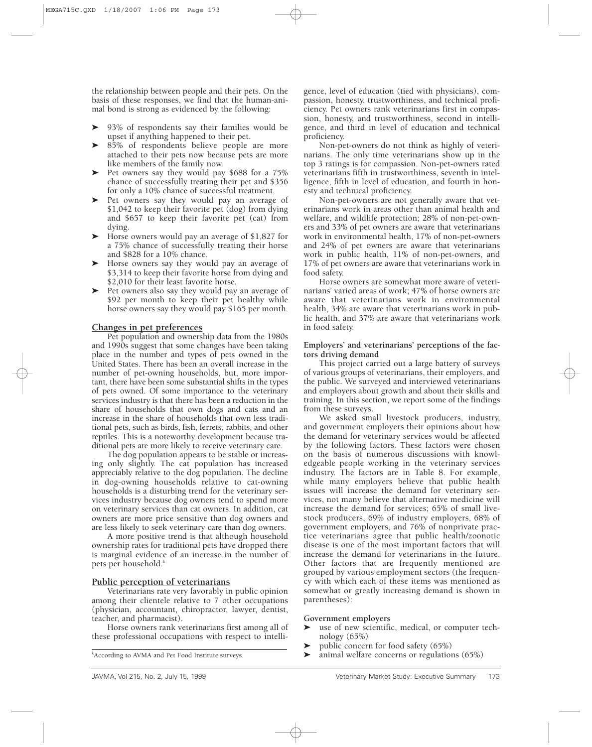the relationship between people and their pets. On the basis of these responses, we find that the human-animal bond is strong as evidenced by the following:

- $\blacktriangleright$  93% of respondents say their families would be upset if anything happened to their pet.
- ▶ 85% of respondents believe people are more attached to their pets now because pets are more like members of the family now.
- ' Pet owners say they would pay \$688 for a 75% chance of successfully treating their pet and \$356 for only a 10% chance of successful treatment.
- ' Pet owners say they would pay an average of \$1,042 to keep their favorite pet (dog) from dying and \$657 to keep their favorite pet (cat) from dying.
- ' Horse owners would pay an average of \$1,827 for a 75% chance of successfully treating their horse and \$828 for a 10% chance.
- ' Horse owners say they would pay an average of \$3,314 to keep their favorite horse from dying and \$2,010 for their least favorite horse.
- ' Pet owners also say they would pay an average of \$92 per month to keep their pet healthy while horse owners say they would pay \$165 per month.

# **Changes in pet preferences**

Pet population and ownership data from the 1980s and 1990s suggest that some changes have been taking place in the number and types of pets owned in the United States. There has been an overall increase in the number of pet-owning households, but, more important, there have been some substantial shifts in the types of pets owned. Of some importance to the veterinary services industry is that there has been a reduction in the share of households that own dogs and cats and an increase in the share of households that own less traditional pets, such as birds, fish, ferrets, rabbits, and other reptiles. This is a noteworthy development because traditional pets are more likely to receive veterinary care.

The dog population appears to be stable or increasing only slightly. The cat population has increased appreciably relative to the dog population. The decline in dog-owning households relative to cat-owning households is a disturbing trend for the veterinary services industry because dog owners tend to spend more on veterinary services than cat owners. In addition, cat owners are more price sensitive than dog owners and are less likely to seek veterinary care than dog owners.

A more positive trend is that although household ownership rates for traditional pets have dropped there is marginal evidence of an increase in the number of pets per household. $k$ 

# **Public perception of veterinarians**

Veterinarians rate very favorably in public opinion among their clientele relative to 7 other occupations (physician, accountant, chiropractor, lawyer, dentist, teacher, and pharmacist).

Horse owners rank veterinarians first among all of these professional occupations with respect to intelli-

gence, level of education (tied with physicians), compassion, honesty, trustworthiness, and technical proficiency. Pet owners rank veterinarians first in compassion, honesty, and trustworthiness, second in intelligence, and third in level of education and technical proficiency.

Non-pet-owners do not think as highly of veterinarians. The only time veterinarians show up in the top 3 ratings is for compassion. Non-pet-owners rated veterinarians fifth in trustworthiness, seventh in intelligence, fifth in level of education, and fourth in honesty and technical proficiency.

Non-pet-owners are not generally aware that veterinarians work in areas other than animal health and welfare, and wildlife protection; 28% of non-pet-owners and 33% of pet owners are aware that veterinarians work in environmental health, 17% of non-pet-owners and 24% of pet owners are aware that veterinarians work in public health, 11% of non-pet-owners, and 17% of pet owners are aware that veterinarians work in food safety.

Horse owners are somewhat more aware of veterinarians' varied areas of work; 47% of horse owners are aware that veterinarians work in environmental health, 34% are aware that veterinarians work in public health, and 37% are aware that veterinarians work in food safety.

#### **Employers' and veterinarians' perceptions of the factors driving demand**

This project carried out a large battery of surveys of various groups of veterinarians, their employers, and the public. We surveyed and interviewed veterinarians and employers about growth and about their skills and training. In this section, we report some of the findings from these surveys.

We asked small livestock producers, industry, and government employers their opinions about how the demand for veterinary services would be affected by the following factors. These factors were chosen on the basis of numerous discussions with knowledgeable people working in the veterinary services industry. The factors are in Table 8. For example, while many employers believe that public health issues will increase the demand for veterinary services, not many believe that alternative medicine will increase the demand for services; 65% of small livestock producers, 69% of industry employers, 68% of government employers, and 76% of nonprivate practice veterinarians agree that public health/zoonotic disease is one of the most important factors that will increase the demand for veterinarians in the future. Other factors that are frequently mentioned are grouped by various employment sectors (the frequency with which each of these items was mentioned as somewhat or greatly increasing demand is shown in parentheses):

# **Government employers**

- ' use of new scientific, medical, or computer technology (65%)
- 'public concern for food safety (65%)
- 'animal welfare concerns or regulations (65%)

k According to AVMA and Pet Food Institute surveys.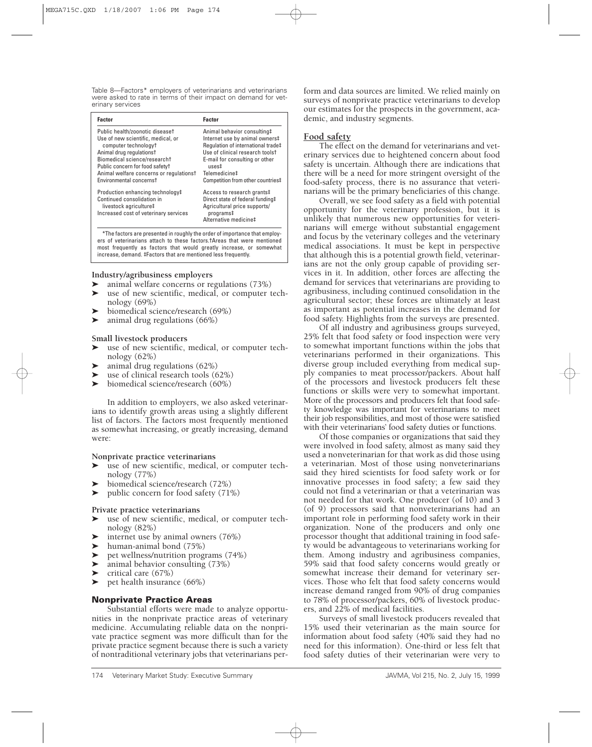Table 8—Factors\* employers of veterinarians and veterinarians were asked to rate in terms of their impact on demand for veterinary services

| <b>Factor</b>                                                                                                                                                                                                                                                                  | <b>Factor</b>                                                                                                                                                                                                                                            |
|--------------------------------------------------------------------------------------------------------------------------------------------------------------------------------------------------------------------------------------------------------------------------------|----------------------------------------------------------------------------------------------------------------------------------------------------------------------------------------------------------------------------------------------------------|
| Public health/zoonotic diseaset<br>Use of new scientific, medical, or<br>computer technology <sup>†</sup><br>Animal drug regulationst<br>Biomedical science/researcht<br>Public concern for food safetyt<br>Animal welfare concerns or regulationst<br>Environmental concernst | Animal behavior consulting#<br>Internet use by animal owners#<br>Regulation of international trade‡<br>Use of clinical research toolst<br>E-mail for consulting or other<br>$_{11}$ ses $\ddagger$<br>Telemedicine‡<br>Competition from other countries# |
| Production enhancing technology#<br>Continued consolidation in<br>livestock agriculture‡<br>Increased cost of veterinary services                                                                                                                                              | Access to research grants#<br>Direct state of federal funding#<br>Agricultural price supports/<br>programs‡<br>Alternative medicine‡                                                                                                                     |

\*The factors are presented in roughly the order of importance that employers of veterinarians attach to these factors.†Areas that were mentioned most frequently as factors that would greatly increase, or somewhat increase, demand. ‡Factors that are mentioned less frequently.

# **Industry/agribusiness employers**

- 'animal welfare concerns or regulations (73%)
- ' use of new scientific, medical, or computer technology (69%)
- 'biomedical science/research (69%)
- 'animal drug regulations (66%)

# **Small livestock producers**

- ' use of new scientific, medical, or computer technology (62%)
- 'animal drug regulations (62%)
- 'use of clinical research tools (62%)
- 'biomedical science/research (60%)

In addition to employers, we also asked veterinarians to identify growth areas using a slightly different list of factors. The factors most frequently mentioned as somewhat increasing, or greatly increasing, demand were:

# **Nonprivate practice veterinarians**

- ' use of new scientific, medical, or computer technology (77%)
- 'biomedical science/research (72%)
- $\blacktriangleright$ public concern for food safety (71%)

# **Private practice veterinarians**

- ' use of new scientific, medical, or computer technology (82%)
- 'internet use by animal owners (76%)
- ' human-animal bond (75%)
- 'pet wellness/nutrition programs (74%)
- 'animal behavior consulting (73%)
- 'critical care (67%)
- 'pet health insurance (66%)

# **Nonprivate Practice Areas**

Substantial efforts were made to analyze opportunities in the nonprivate practice areas of veterinary medicine. Accumulating reliable data on the nonprivate practice segment was more difficult than for the private practice segment because there is such a variety of nontraditional veterinary jobs that veterinarians per-

form and data sources are limited. We relied mainly on surveys of nonprivate practice veterinarians to develop our estimates for the prospects in the government, academic, and industry segments.

# **Food safety**

The effect on the demand for veterinarians and veterinary services due to heightened concern about food safety is uncertain. Although there are indications that there will be a need for more stringent oversight of the food-safety process, there is no assurance that veterinarians will be the primary beneficiaries of this change.

Overall, we see food safety as a field with potential opportunity for the veterinary profession, but it is unlikely that numerous new opportunities for veterinarians will emerge without substantial engagement and focus by the veterinary colleges and the veterinary medical associations. It must be kept in perspective that although this is a potential growth field, veterinarians are not the only group capable of providing services in it. In addition, other forces are affecting the demand for services that veterinarians are providing to agribusiness, including continued consolidation in the agricultural sector; these forces are ultimately at least as important as potential increases in the demand for food safety. Highlights from the surveys are presented.

Of all industry and agribusiness groups surveyed, 25% felt that food safety or food inspection were very to somewhat important functions within the jobs that veterinarians performed in their organizations. This diverse group included everything from medical supply companies to meat processor/packers. About half of the processors and livestock producers felt these functions or skills were very to somewhat important. More of the processors and producers felt that food safety knowledge was important for veterinarians to meet their job responsibilities, and most of those were satisfied with their veterinarians' food safety duties or functions.

Of those companies or organizations that said they were involved in food safety, almost as many said they used a nonveterinarian for that work as did those using a veterinarian. Most of those using nonveterinarians said they hired scientists for food safety work or for innovative processes in food safety; a few said they could not find a veterinarian or that a veterinarian was not needed for that work. One producer (of 10) and 3 (of 9) processors said that nonveterinarians had an important role in performing food safety work in their organization. None of the producers and only one processor thought that additional training in food safety would be advantageous to veterinarians working for them. Among industry and agribusiness companies, 59% said that food safety concerns would greatly or somewhat increase their demand for veterinary services. Those who felt that food safety concerns would increase demand ranged from 90% of drug companies to 78% of processor/packers, 60% of livestock producers, and 22% of medical facilities.

Surveys of small livestock producers revealed that 15% used their veterinarian as the main source for information about food safety (40% said they had no need for this information). One-third or less felt that food safety duties of their veterinarian were very to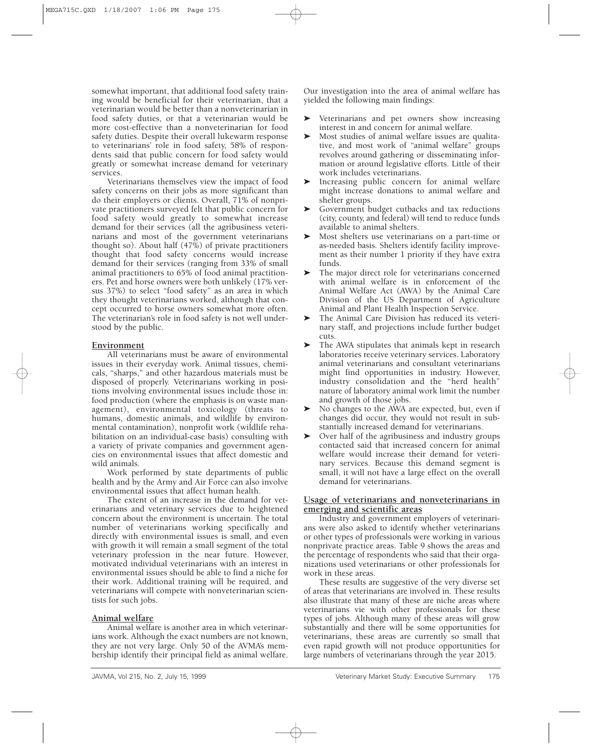somewhat important, that additional food safety training would be beneficial for their veterinarian, that a veterinarian would be better than a nonveterinarian in food safety duties, or that a veterinarian would be more cost-effective than a nonveterinarian for food safety duties. Despite their overall lukewarm response to veterinarians' role in food safety, 58% of respondents said that public concern for food safety would greatly or somewhat increase demand for veterinary services.

Veterinarians themselves view the impact of food safety concerns on their jobs as more significant than do their employers or clients. Overall, 71% of nonprivate practitioners surveyed felt that public concern for food safety would greatly to somewhat increase demand for their services (all the agribusiness veterinarians and most of the government veterinarians thought so). About half (47%) of private practitioners thought that food safety concerns would increase demand for their services (ranging from 33% of small animal practitioners to 65% of food animal practitioners. Pet and horse owners were both unlikely (17% versus 37%) to select "food safety" as an area in which they thought veterinarians worked, although that concept occurred to horse owners somewhat more often. The veterinarian's role in food safety is not well understood by the public.

# **Environment**

All veterinarians must be aware of environmental issues in their everyday work. Animal tissues, chemicals, "sharps," and other hazardous materials must be disposed of properly. Veterinarians working in positions involving environmental issues include those in: food production (where the emphasis is on waste management), environmental toxicology (threats to humans, domestic animals, and wildlife by environmental contamination), nonprofit work (wildlife rehabilitation on an individual-case basis) consulting with a variety of private companies and government agencies on environmental issues that affect domestic and wild animals.

Work performed by state departments of public health and by the Army and Air Force can also involve environmental issues that affect human health.

The extent of an increase in the demand for veterinarians and veterinary services due to heightened concern about the environment is uncertain. The total number of veterinarians working specifically and directly with environmental issues is small, and even with growth it will remain a small segment of the total veterinary profession in the near future. However, motivated individual veterinarians with an interest in environmental issues should be able to find a niche for their work. Additional training will be required, and veterinarians will compete with nonveterinarian scientists for such jobs.

# **Animal welfare**

Animal welfare is another area in which veterinarians work. Although the exact numbers are not known, they are not very large. Only 50 of the AVMA's membership identify their principal field as animal welfare. Our investigation into the area of animal welfare has yielded the following main findings:

- ' Veterinarians and pet owners show increasing interest in and concern for animal welfare.
- ' Most studies of animal welfare issues are qualitative, and most work of "animal welfare" groups revolves around gathering or disseminating information or around legislative efforts. Little of their work includes veterinarians.
- ' Increasing public concern for animal welfare might increase donations to animal welfare and shelter groups.
- ' Government budget cutbacks and tax reductions (city, county, and federal) will tend to reduce funds available to animal shelters.
- ' Most shelters use veterinarians on a part-time or as-needed basis. Shelters identify facility improvement as their number 1 priority if they have extra funds.
- ' The major direct role for veterinarians concerned with animal welfare is in enforcement of the Animal Welfare Act (AWA) by the Animal Care Division of the US Department of Agriculture Animal and Plant Health Inspection Service.
- ' The Animal Care Division has reduced its veterinary staff, and projections include further budget cuts.
- ' The AWA stipulates that animals kept in research laboratories receive veterinary services. Laboratory animal veterinarians and consultant veterinarians might find opportunities in industry. However, industry consolidation and the "herd health" nature of laboratory animal work limit the number and growth of those jobs.
- ' No changes to the AWA are expected, but, even if changes did occur, they would not result in substantially increased demand for veterinarians.
- ' Over half of the agribusiness and industry groups contacted said that increased concern for animal welfare would increase their demand for veterinary services. Because this demand segment is small, it will not have a large effect on the overall demand for veterinarians.

# **Usage of veterinarians and nonveterinarians in emerging and scientific areas**

Industry and government employers of veterinarians were also asked to identify whether veterinarians or other types of professionals were working in various nonprivate practice areas. Table 9 shows the areas and the percentage of respondents who said that their organizations used veterinarians or other professionals for work in these areas.

These results are suggestive of the very diverse set of areas that veterinarians are involved in. These results also illustrate that many of these are niche areas where veterinarians vie with other professionals for these types of jobs. Although many of these areas will grow substantially and there will be some opportunities for veterinarians, these areas are currently so small that even rapid growth will not produce opportunities for large numbers of veterinarians through the year 2015.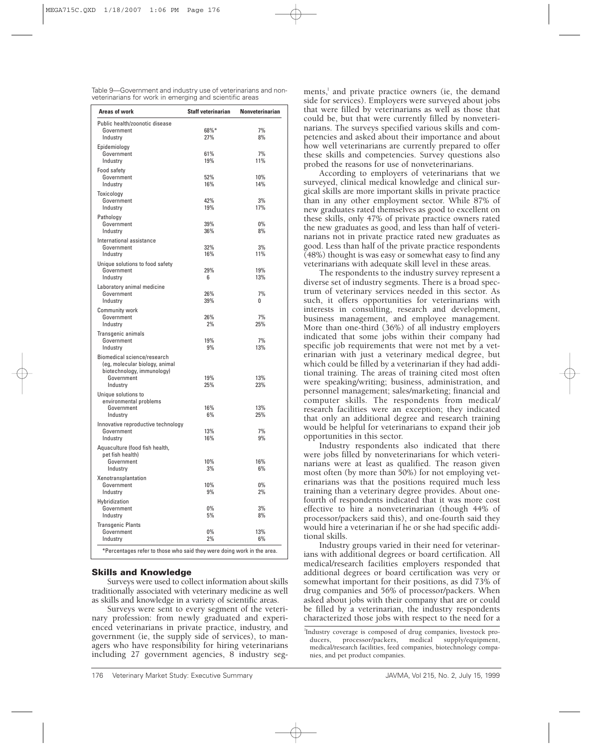Table 9—Government and industry use of veterinarians and nonveterinarians for work in emerging and scientific areas

| <b>Areas of work</b>                 | <b>Staff veterinarian</b> | <b>Nonveterinarian</b> |
|--------------------------------------|---------------------------|------------------------|
| Public health/zoonotic disease       |                           |                        |
| Government                           | 68%*                      | 7%                     |
| Industry                             | 27%                       | 8%                     |
| Epidemiology                         |                           |                        |
| Government                           | 61%                       | 7%                     |
| Industry                             | 19%                       | 11%                    |
| Food safety                          |                           |                        |
| Government                           | 52%                       | 10%                    |
| Industry                             | 16%                       | 14%                    |
| Toxicology                           |                           |                        |
| Government                           | 42%                       | 3%                     |
| Industry                             | 19%                       | 17%                    |
| Pathology                            |                           |                        |
| Government                           | 39%                       | 0%                     |
| Industry                             | 36%                       | 8%                     |
| International assistance             |                           |                        |
| Government                           | 32%                       | 3%                     |
| Industry                             | 16%                       | 11%                    |
| Unique solutions to food safety      |                           |                        |
| Government                           | 29%                       | 19%                    |
| Industry                             | 6                         | 13%                    |
| Laboratory animal medicine           |                           |                        |
| Government                           | 26%                       | 7%                     |
| Industry                             | 39%                       | 0                      |
|                                      |                           |                        |
| <b>Community work</b><br>Government  | 26%                       | 7%                     |
| Industry                             | 2%                        | 25%                    |
|                                      |                           |                        |
| Transgenic animals<br>Government     | 19%                       | 7%                     |
| Industry                             | 9%                        | 13%                    |
| Biomedical science/research          |                           |                        |
| (eg, molecular biology, animal       |                           |                        |
| biotechnology, immunology)           |                           |                        |
| Government                           | 19%                       | 13%                    |
| Industry                             | 25%                       | 23%                    |
|                                      |                           |                        |
| Unique solutions to                  |                           |                        |
| environmental problems<br>Government | 16%                       | 13%                    |
| Industry                             | 6%                        | 25%                    |
|                                      |                           |                        |
| Innovative reproductive technology   |                           | 7%                     |
| Government                           | 13%<br>16%                | 9%                     |
| Industry                             |                           |                        |
| Aquaculture (food fish health,       |                           |                        |
| pet fish health)                     | 10%                       | 16%                    |
| Government<br>Industry               | 3%                        | 6%                     |
|                                      |                           |                        |
| Xenotransplantation                  |                           |                        |
| Government                           | 10%                       | 0%                     |
| Industry                             | 9%                        | 2%                     |
| Hybridization                        |                           |                        |
| Government                           | 0%                        | 3%                     |
| Industry                             | 5%                        | 8%                     |
| <b>Transgenic Plants</b>             |                           |                        |
| Government                           | 0%                        | 13%                    |
| Industry                             | 2%                        | 6%                     |

# **Skills and Knowledge**

Surveys were used to collect information about skills traditionally associated with veterinary medicine as well as skills and knowledge in a variety of scientific areas.

Surveys were sent to every segment of the veterinary profession: from newly graduated and experienced veterinarians in private practice, industry, and government (ie, the supply side of services), to managers who have responsibility for hiring veterinarians including 27 government agencies, 8 industry seg-

ments,<sup>1</sup> and private practice owners (ie, the demand side for services). Employers were surveyed about jobs that were filled by veterinarians as well as those that could be, but that were currently filled by nonveterinarians. The surveys specified various skills and competencies and asked about their importance and about how well veterinarians are currently prepared to offer these skills and competencies. Survey questions also probed the reasons for use of nonveterinarians.

According to employers of veterinarians that we surveyed, clinical medical knowledge and clinical surgical skills are more important skills in private practice than in any other employment sector. While 87% of new graduates rated themselves as good to excellent on these skills, only 47% of private practice owners rated the new graduates as good, and less than half of veterinarians not in private practice rated new graduates as good. Less than half of the private practice respondents  $(48%)$  thought is was easy or somewhat easy to find any veterinarians with adequate skill level in these areas.

The respondents to the industry survey represent a diverse set of industry segments. There is a broad spectrum of veterinary services needed in this sector. As such, it offers opportunities for veterinarians with interests in consulting, research and development, business management, and employee management. More than one-third (36%) of all industry employers indicated that some jobs within their company had specific job requirements that were not met by a veterinarian with just a veterinary medical degree, but which could be filled by a veterinarian if they had additional training. The areas of training cited most often were speaking/writing; business, administration, and personnel management; sales/marketing; financial and computer skills. The respondents from medical/ research facilities were an exception; they indicated that only an additional degree and research training would be helpful for veterinarians to expand their job opportunities in this sector.

Industry respondents also indicated that there were jobs filled by nonveterinarians for which veterinarians were at least as qualified. The reason given most often (by more than 50%) for not employing veterinarians was that the positions required much less training than a veterinary degree provides. About onefourth of respondents indicated that it was more cost effective to hire a nonveterinarian (though 44% of processor/packers said this), and one-fourth said they would hire a veterinarian if he or she had specific additional skills.

Industry groups varied in their need for veterinarians with additional degrees or board certification. All medical/research facilities employers responded that additional degrees or board certification was very or somewhat important for their positions, as did 73% of drug companies and 56% of processor/packers. When asked about jobs with their company that are or could be filled by a veterinarian, the industry respondents characterized those jobs with respect to the need for a

l Industry coverage is composed of drug companies, livestock producers, processor/packers, medical supply/equipment, medical/research facilities, feed companies, biotechnology companies, and pet product companies.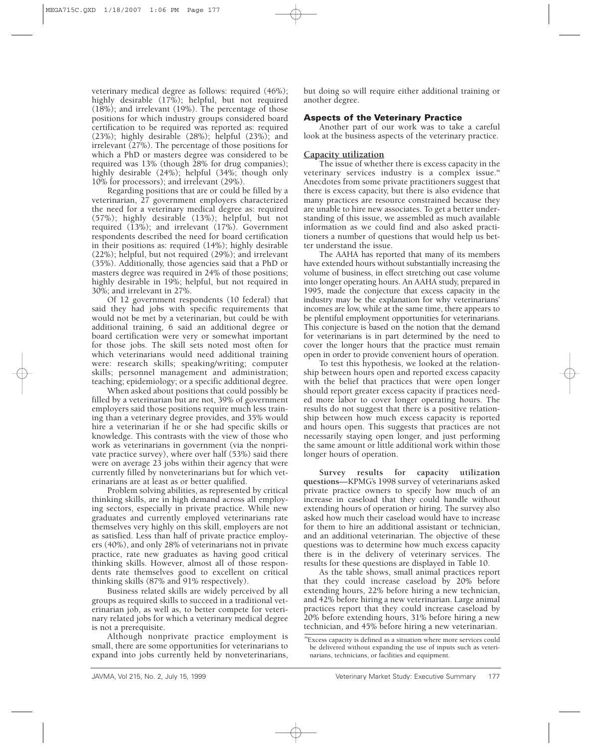veterinary medical degree as follows: required (46%); highly desirable (17%); helpful, but not required (18%); and irrelevant (19%). The percentage of those positions for which industry groups considered board certification to be required was reported as: required (23%); highly desirable (28%); helpful (23%); and irrelevant (27%). The percentage of those positions for which a PhD or masters degree was considered to be required was 13% (though 28% for drug companies); highly desirable (24%); helpful (34%; though only 10% for processors); and irrelevant (29%).

Regarding positions that are or could be filled by a veterinarian, 27 government employers characterized the need for a veterinary medical degree as: required (57%); highly desirable (13%); helpful, but not required (13%); and irrelevant (17%). Government respondents described the need for board certification in their positions as: required (14%); highly desirable (22%); helpful, but not required (29%); and irrelevant (35%). Additionally, those agencies said that a PhD or masters degree was required in 24% of those positions; highly desirable in 19%; helpful, but not required in 30%; and irrelevant in 27%.

Of 12 government respondents (10 federal) that said they had jobs with specific requirements that would not be met by a veterinarian, but could be with additional training, 6 said an additional degree or board certification were very or somewhat important for those jobs. The skill sets noted most often for which veterinarians would need additional training were: research skills; speaking/writing; computer skills; personnel management and administration; teaching; epidemiology; or a specific additional degree.

When asked about positions that could possibly be filled by a veterinarian but are not, 39% of government employers said those positions require much less training than a veterinary degree provides, and 35% would hire a veterinarian if he or she had specific skills or knowledge. This contrasts with the view of those who work as veterinarians in government (via the nonprivate practice survey), where over half (53%) said there were on average 23 jobs within their agency that were currently filled by nonveterinarians but for which veterinarians are at least as or better qualified.

Problem solving abilities, as represented by critical thinking skills, are in high demand across all employing sectors, especially in private practice. While new graduates and currently employed veterinarians rate themselves very highly on this skill, employers are not as satisfied. Less than half of private practice employers (40%), and only 28% of veterinarians not in private practice, rate new graduates as having good critical thinking skills. However, almost all of those respondents rate themselves good to excellent on critical thinking skills (87% and 91% respectively).

Business related skills are widely perceived by all groups as required skills to succeed in a traditional veterinarian job, as well as, to better compete for veterinary related jobs for which a veterinary medical degree is not a prerequisite.

Although nonprivate practice employment is small, there are some opportunities for veterinarians to expand into jobs currently held by nonveterinarians,

but doing so will require either additional training or another degree.

# **Aspects of the Veterinary Practice**

Another part of our work was to take a careful look at the business aspects of the veterinary practice.

# **Capacity utilization**

The issue of whether there is excess capacity in the veterinary services industry is a complex issue.<sup>"</sup> Anecdotes from some private practitioners suggest that there is excess capacity, but there is also evidence that many practices are resource constrained because they are unable to hire new associates. To get a better understanding of this issue, we assembled as much available information as we could find and also asked practitioners a number of questions that would help us better understand the issue.

The AAHA has reported that many of its members have extended hours without substantially increasing the volume of business, in effect stretching out case volume into longer operating hours. An AAHA study, prepared in 1995, made the conjecture that excess capacity in the industry may be the explanation for why veterinarians' incomes are low, while at the same time, there appears to be plentiful employment opportunities for veterinarians. This conjecture is based on the notion that the demand for veterinarians is in part determined by the need to cover the longer hours that the practice must remain open in order to provide convenient hours of operation.

To test this hypothesis, we looked at the relationship between hours open and reported excess capacity with the belief that practices that were open longer should report greater excess capacity if practices needed more labor to cover longer operating hours. The results do not suggest that there is a positive relationship between how much excess capacity is reported and hours open. This suggests that practices are not necessarily staying open longer, and just performing the same amount or little additional work within those longer hours of operation.

**Survey results for capacity utilization questions**—KPMG's 1998 survey of veterinarians asked private practice owners to specify how much of an increase in caseload that they could handle without extending hours of operation or hiring. The survey also asked how much their caseload would have to increase for them to hire an additional assistant or technician, and an additional veterinarian. The objective of these questions was to determine how much excess capacity there is in the delivery of veterinary services. The results for these questions are displayed in Table 10.

As the table shows, small animal practices report that they could increase caseload by 20% before extending hours, 22% before hiring a new technician, and 42% before hiring a new veterinarian. Large animal practices report that they could increase caseload by 20% before extending hours, 31% before hiring a new technician, and 45% before hiring a new veterinarian.

mExcess capacity is defined as a situation where more services could be delivered without expanding the use of inputs such as veterinarians, technicians, or facilities and equipment.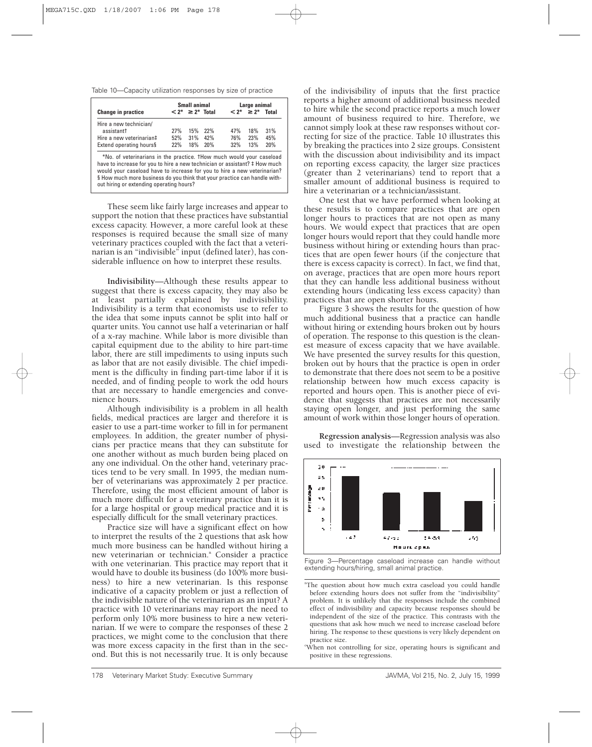Table 10—Capacity utilization responses by size of practice

|                                                                                                                                                                                                                                                                                                                                                         |     | Small animal                         |     |     | Large animal                         |     |  |
|---------------------------------------------------------------------------------------------------------------------------------------------------------------------------------------------------------------------------------------------------------------------------------------------------------------------------------------------------------|-----|--------------------------------------|-----|-----|--------------------------------------|-----|--|
| <b>Change in practice</b>                                                                                                                                                                                                                                                                                                                               |     | $\langle 2^* \rangle \geq 2^*$ Total |     |     | $\langle 2^* \rangle \geq 2^*$ Total |     |  |
| Hire a new technician/                                                                                                                                                                                                                                                                                                                                  |     |                                      |     |     |                                      |     |  |
| assistantt                                                                                                                                                                                                                                                                                                                                              | 27% | 15%                                  | 22% | 47% | 18%                                  | 31% |  |
| Hire a new veterinariant                                                                                                                                                                                                                                                                                                                                | 52% | 31%                                  | 42% | 76% | 23%                                  | 45% |  |
| Extend operating hours§                                                                                                                                                                                                                                                                                                                                 | 22% | 18%                                  | 20% | 32% | 13%                                  | 20% |  |
| *No. of veterinarians in the practice. Thow much would your caseload<br>have to increase for you to hire a new technician or assistant? # How much<br>would your caseload have to increase for you to hire a new veterinarian?<br>§ How much more business do you think that your practice can handle with-<br>out hiring or extending operating hours? |     |                                      |     |     |                                      |     |  |

These seem like fairly large increases and appear to support the notion that these practices have substantial excess capacity. However, a more careful look at these responses is required because the small size of many veterinary practices coupled with the fact that a veterinarian is an "indivisible" input (defined later), has considerable influence on how to interpret these results.

**Indivisibility**—Although these results appear to suggest that there is excess capacity, they may also be at least partially explained by indivisibility. Indivisibility is a term that economists use to refer to the idea that some inputs cannot be split into half or quarter units. You cannot use half a veterinarian or half of a x-ray machine. While labor is more divisible than capital equipment due to the ability to hire part-time labor, there are still impediments to using inputs such as labor that are not easily divisible. The chief impediment is the difficulty in finding part-time labor if it is needed, and of finding people to work the odd hours that are necessary to handle emergencies and convenience hours.

Although indivisibility is a problem in all health fields, medical practices are larger and therefore it is easier to use a part-time worker to fill in for permanent employees. In addition, the greater number of physicians per practice means that they can substitute for one another without as much burden being placed on any one individual. On the other hand, veterinary practices tend to be very small. In 1995, the median number of veterinarians was approximately 2 per practice. Therefore, using the most efficient amount of labor is much more difficult for a veterinary practice than it is for a large hospital or group medical practice and it is especially difficult for the small veterinary practices.

Practice size will have a significant effect on how to interpret the results of the 2 questions that ask how much more business can be handled without hiring a new veterinarian or technician.<sup>n</sup> Consider a practice with one veterinarian. This practice may report that it would have to double its business (do 100% more business) to hire a new veterinarian. Is this response indicative of a capacity problem or just a reflection of the indivisible nature of the veterinarian as an input? A practice with 10 veterinarians may report the need to perform only 10% more business to hire a new veterinarian. If we were to compare the responses of these 2 practices, we might come to the conclusion that there was more excess capacity in the first than in the second. But this is not necessarily true. It is only because

of the indivisibility of inputs that the first practice reports a higher amount of additional business needed to hire while the second practice reports a much lower amount of business required to hire. Therefore, we cannot simply look at these raw responses without correcting for size of the practice. Table 10 illustrates this by breaking the practices into 2 size groups. Consistent with the discussion about indivisibility and its impact on reporting excess capacity, the larger size practices (greater than 2 veterinarians) tend to report that a smaller amount of additional business is required to hire a veterinarian or a technician/assistant.

One test that we have performed when looking at these results is to compare practices that are open longer hours to practices that are not open as many hours. We would expect that practices that are open longer hours would report that they could handle more business without hiring or extending hours than practices that are open fewer hours (if the conjecture that there is excess capacity is correct). In fact, we find that, on average, practices that are open more hours report that they can handle less additional business without extending hours (indicating less excess capacity) than practices that are open shorter hours.

Figure 3 shows the results for the question of how much additional business that a practice can handle without hiring or extending hours broken out by hours of operation. The response to this question is the cleanest measure of excess capacity that we have available. We have presented the survey results for this question, broken out by hours that the practice is open in order to demonstrate that there does not seem to be a positive relationship between how much excess capacity is reported and hours open. This is another piece of evidence that suggests that practices are not necessarily staying open longer, and just performing the same amount of work within those longer hours of operation.

**Regression analysis**—Regression analysis was also used to investigate the relationship between the



Figure 3—Percentage caseload increase can handle without extending hours/hiring, small animal practice.

<sup>&</sup>quot;The question about how much extra caseload you could handle before extending hours does not suffer from the "indivisibility" problem. It is unlikely that the responses include the combined effect of indivisibility and capacity because responses should be independent of the size of the practice. This contrasts with the questions that ask how much we need to increase caseload before hiring. The response to these questions is very likely dependent on practice size.

When not controlling for size, operating hours is significant and positive in these regressions.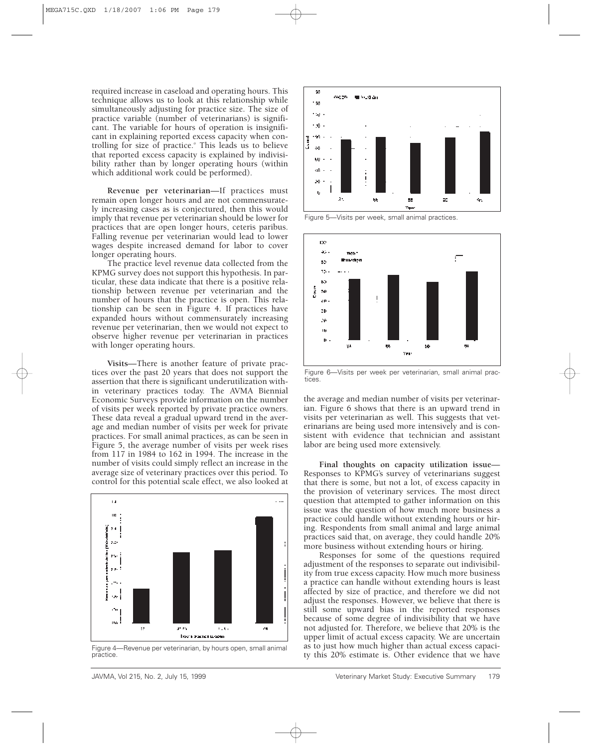required increase in caseload and operating hours. This technique allows us to look at this relationship while simultaneously adjusting for practice size. The size of practice variable (number of veterinarians) is significant. The variable for hours of operation is insignificant in explaining reported excess capacity when controlling for size of practice.<sup>o</sup> This leads us to believe that reported excess capacity is explained by indivisibility rather than by longer operating hours (within which additional work could be performed).

**Revenue per veterinarian**—If practices must remain open longer hours and are not commensurately increasing cases as is conjectured, then this would imply that revenue per veterinarian should be lower for practices that are open longer hours, ceteris paribus. Falling revenue per veterinarian would lead to lower wages despite increased demand for labor to cover longer operating hours.

The practice level revenue data collected from the KPMG survey does not support this hypothesis. In particular, these data indicate that there is a positive relationship between revenue per veterinarian and the number of hours that the practice is open. This relationship can be seen in Figure 4. If practices have expanded hours without commensurately increasing revenue per veterinarian, then we would not expect to observe higher revenue per veterinarian in practices with longer operating hours.

**Visits**—There is another feature of private practices over the past 20 years that does not support the assertion that there is significant underutilization within veterinary practices today. The AVMA Biennial Economic Surveys provide information on the number of visits per week reported by private practice owners. These data reveal a gradual upward trend in the average and median number of visits per week for private practices. For small animal practices, as can be seen in Figure 5, the average number of visits per week rises from 117 in 1984 to 162 in 1994. The increase in the number of visits could simply reflect an increase in the average size of veterinary practices over this period. To control for this potential scale effect, we also looked at



Figure 4—Revenue per veterinarian, by hours open, small animal practice.



Figure 5—Visits per week, small animal practices.



Figure 6—Visits per week per veterinarian, small animal practices.

the average and median number of visits per veterinarian. Figure 6 shows that there is an upward trend in visits per veterinarian as well. This suggests that veterinarians are being used more intensively and is consistent with evidence that technician and assistant labor are being used more extensively.

**Final thoughts on capacity utilization issue**— Responses to KPMG's survey of veterinarians suggest that there is some, but not a lot, of excess capacity in the provision of veterinary services. The most direct question that attempted to gather information on this issue was the question of how much more business a practice could handle without extending hours or hiring. Respondents from small animal and large animal practices said that, on average, they could handle 20% more business without extending hours or hiring.

Responses for some of the questions required adjustment of the responses to separate out indivisibility from true excess capacity. How much more business a practice can handle without extending hours is least affected by size of practice, and therefore we did not adjust the responses. However, we believe that there is still some upward bias in the reported responses because of some degree of indivisibility that we have not adjusted for. Therefore, we believe that 20% is the upper limit of actual excess capacity. We are uncertain as to just how much higher than actual excess capacity this 20% estimate is. Other evidence that we have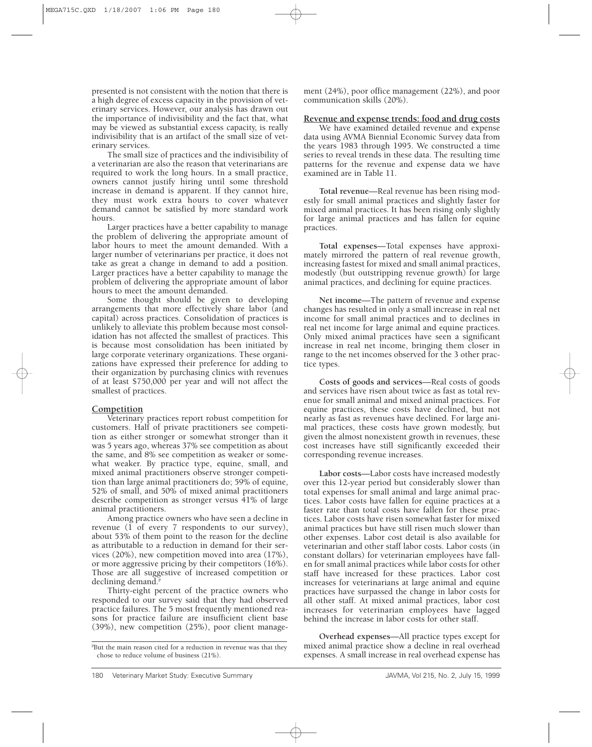presented is not consistent with the notion that there is a high degree of excess capacity in the provision of veterinary services. However, our analysis has drawn out the importance of indivisibility and the fact that, what may be viewed as substantial excess capacity, is really indivisibility that is an artifact of the small size of veterinary services.

The small size of practices and the indivisibility of a veterinarian are also the reason that veterinarians are required to work the long hours. In a small practice, owners cannot justify hiring until some threshold increase in demand is apparent. If they cannot hire, they must work extra hours to cover whatever demand cannot be satisfied by more standard work hours.

Larger practices have a better capability to manage the problem of delivering the appropriate amount of labor hours to meet the amount demanded. With a larger number of veterinarians per practice, it does not take as great a change in demand to add a position. Larger practices have a better capability to manage the problem of delivering the appropriate amount of labor hours to meet the amount demanded.

Some thought should be given to developing arrangements that more effectively share labor (and capital) across practices. Consolidation of practices is unlikely to alleviate this problem because most consolidation has not affected the smallest of practices. This is because most consolidation has been initiated by large corporate veterinary organizations. These organizations have expressed their preference for adding to their organization by purchasing clinics with revenues of at least \$750,000 per year and will not affect the smallest of practices.

# **Competition**

Veterinary practices report robust competition for customers. Half of private practitioners see competition as either stronger or somewhat stronger than it was 5 years ago, whereas 37% see competition as about the same, and 8% see competition as weaker or somewhat weaker. By practice type, equine, small, and mixed animal practitioners observe stronger competition than large animal practitioners do; 59% of equine, 52% of small, and 50% of mixed animal practitioners describe competition as stronger versus 41% of large animal practitioners.

Among practice owners who have seen a decline in revenue (1 of every 7 respondents to our survey), about 53% of them point to the reason for the decline as attributable to a reduction in demand for their services (20%), new competition moved into area (17%), or more aggressive pricing by their competitors (16%). Those are all suggestive of increased competition or declining demand.<sup>F</sup>

Thirty-eight percent of the practice owners who responded to our survey said that they had observed practice failures. The 5 most frequently mentioned reasons for practice failure are insufficient client base (39%), new competition (25%), poor client manage-

ment (24%), poor office management (22%), and poor communication skills (20%).

# **Revenue and expense trends: food and drug costs**

We have examined detailed revenue and expense data using AVMA Biennial Economic Survey data from the years 1983 through 1995. We constructed a time series to reveal trends in these data. The resulting time patterns for the revenue and expense data we have examined are in Table 11.

**Total revenue**—Real revenue has been rising modestly for small animal practices and slightly faster for mixed animal practices. It has been rising only slightly for large animal practices and has fallen for equine practices.

**Total expenses**—Total expenses have approximately mirrored the pattern of real revenue growth, increasing fastest for mixed and small animal practices, modestly (but outstripping revenue growth) for large animal practices, and declining for equine practices.

**Net income**—The pattern of revenue and expense changes has resulted in only a small increase in real net income for small animal practices and to declines in real net income for large animal and equine practices. Only mixed animal practices have seen a significant increase in real net income, bringing them closer in range to the net incomes observed for the 3 other practice types.

**Costs of goods and services**—Real costs of goods and services have risen about twice as fast as total revenue for small animal and mixed animal practices. For equine practices, these costs have declined, but not nearly as fast as revenues have declined. For large animal practices, these costs have grown modestly, but given the almost nonexistent growth in revenues, these cost increases have still significantly exceeded their corresponding revenue increases.

**Labor costs**—Labor costs have increased modestly over this 12-year period but considerably slower than total expenses for small animal and large animal practices. Labor costs have fallen for equine practices at a faster rate than total costs have fallen for these practices. Labor costs have risen somewhat faster for mixed animal practices but have still risen much slower than other expenses. Labor cost detail is also available for veterinarian and other staff labor costs. Labor costs (in constant dollars) for veterinarian employees have fallen for small animal practices while labor costs for other staff have increased for these practices. Labor cost increases for veterinarians at large animal and equine practices have surpassed the change in labor costs for all other staff. At mixed animal practices, labor cost increases for veterinarian employees have lagged behind the increase in labor costs for other staff.

**Overhead expenses**—All practice types except for mixed animal practice show a decline in real overhead expenses. A small increase in real overhead expense has

<sup>&</sup>lt;sup>P</sup>But the main reason cited for a reduction in revenue was that they chose to reduce volume of business (21%).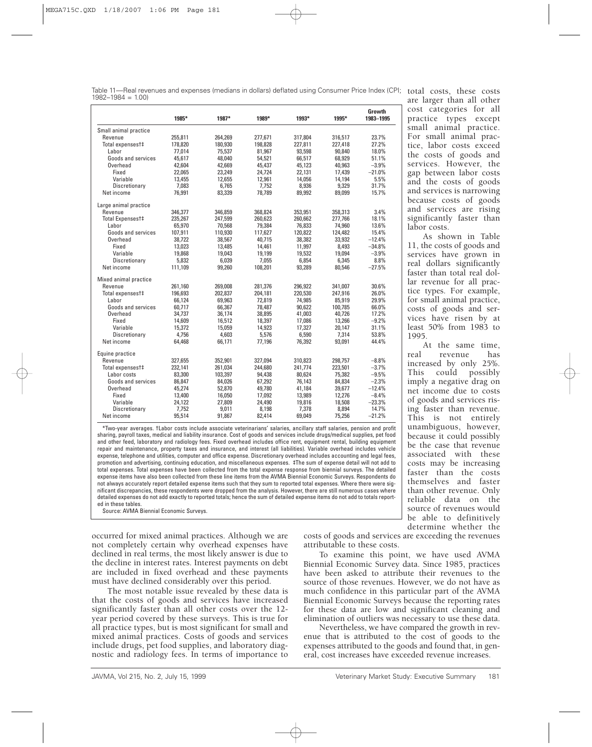|                       | 1985*   | 1987*   | 1989*   | 1993*   | 1995*   | Growth<br>1983-1995 |
|-----------------------|---------|---------|---------|---------|---------|---------------------|
| Small animal practice |         |         |         |         |         |                     |
| Revenue               | 255,811 | 264,269 | 277,671 | 317,804 | 316,517 | 23.7%               |
| Total expensest‡      | 178,820 | 180,930 | 198,828 | 227,811 | 227,418 | 27.2%               |
| Labor                 | 77.014  | 75.537  | 81,967  | 93,598  | 90,840  | 18.0%               |
| Goods and services    | 45,617  | 48,040  | 54,521  | 66,517  | 68,929  | 51.1%               |
| Overhead              | 42,604  | 42,669  | 45,437  | 45,123  | 40,963  | $-3.9%$             |
| Fixed                 | 22,065  | 23,249  | 24,724  | 22,131  | 17,439  | $-21.0%$            |
| Variable              | 13,455  | 12,655  | 12,961  | 14,056  | 14,194  | 5.5%                |
| Discretionary         | 7.083   | 6.765   | 7.752   | 8,936   | 9,329   | 31.7%               |
| Net income            | 76,991  | 83,339  | 78,789  | 89,992  | 89,099  | 15.7%               |
| Large animal practice |         |         |         |         |         |                     |
| Revenue               | 346,377 | 346,859 | 368,824 | 353,951 | 358,313 | 3.4%                |
| Total Expensest‡      | 235,267 | 247,599 | 260,623 | 260,662 | 277,766 | 18.1%               |
| Labor                 | 65,970  | 70,568  | 79,384  | 76,833  | 74,960  | 13.6%               |
| Goods and services    | 107,911 | 110,930 | 117,627 | 120,822 | 124,482 | 15.4%               |
| Overhead              | 38,722  | 38,567  | 40.715  | 38,382  | 33,932  | $-12.4%$            |
| Fixed                 | 13,023  | 13,485  | 14,461  | 11,997  | 8,493   | $-34.8%$            |
| Variable              | 19,868  | 19,043  | 19,199  | 19,532  | 19,094  | $-3.9%$             |
| Discretionary         | 5,832   | 6,039   | 7,055   | 6,854   | 6,345   | 8.8%                |
| Net income            | 111,109 | 99,260  | 108,201 | 93,289  | 80,546  | $-27.5%$            |
| Mixed animal practice |         |         |         |         |         |                     |
| Revenue               | 261,160 | 269,008 | 281,376 | 296,922 | 341,007 | 30.6%               |
| Total expensest‡      | 196,693 | 202,837 | 204,181 | 220,530 | 247,916 | 26.0%               |
| Labor                 | 66.124  | 69.963  | 72.819  | 74,985  | 85,919  | 29.9%               |
| Goods and services    | 60,717  | 66,367  | 78,487  | 90,622  | 100,785 | 66.0%               |
| Overhead              | 34,737  | 36,174  | 38,895  | 41,003  | 40,726  | 17.2%               |
| Fixed                 | 14,609  | 16,512  | 18,397  | 17,086  | 13,266  | $-9.2%$             |
| Variable              | 15,372  | 15,059  | 14,923  | 17,327  | 20,147  | 31.1%               |
| Discretionary         | 4,756   | 4,603   | 5,576   | 6,590   | 7,314   | 53.8%               |
| Net income            | 64.468  | 66.171  | 77.196  | 76.392  | 93.091  | 44.4%               |
| Equine practice       |         |         |         |         |         |                     |
| Revenue               | 327,655 | 352,901 | 327,094 | 310,823 | 298.757 | $-8.8%$             |
| Total expensest‡      | 232,141 | 261,034 | 244,680 | 241,774 | 223,501 | $-3.7%$             |
| Labor costs           | 83,300  | 103,397 | 94,438  | 80,624  | 75,382  | $-9.5%$             |
| Goods and services    | 86,847  | 84,026  | 67,292  | 76,143  | 84,834  | $-2.3%$             |
| Overhead              | 45,274  | 52,870  | 49,780  | 41,184  | 39,677  | $-12.4%$            |
| Fixed                 | 13,400  | 16,050  | 17,092  | 13,989  | 12,276  | $-8.4%$             |
| Variable              | 24,122  | 27,809  | 24,490  | 19,816  | 18,508  | $-23.3%$            |
| Discretionary         | 7,752   | 9,011   | 8,198   | 7,378   | 8,894   | 14.7%               |
| Net income            | 95,514  | 91,867  | 82,414  | 69,049  | 75,256  | $-21.2%$            |

\*Two-year averages. †Labor costs include associate veterinarians' salaries, ancillary staff salaries, pension and profit sharing, payroll taxes, medical and liability insurance. Cost of goods and services include drugs/medical supplies, pet food and other feed, laboratory and radiology fees. Fixed overhead includes office rent, equipment rental, building equipment repair and maintenance, property taxes and insurance, and interest (all liabilities). Variable overhead includes vehicle expense, telephone and utilities, computer and office expense. Discretionary overhead includes accounting and legal fees, promotion and advertising, continuing education, and miscellaneous expenses. ‡The sum of expense detail will not add to total expenses. Total expenses have been collected from the total expense response from biennial surveys. The detailed expense items have also been collected from these line items from the AVMA Biennial Economic Surveys. Respondents do not always accurately report detailed expense items such that they sum to reported total expenses. Where there were significant discrepancies, these respondents were dropped from the analysis. However, there are still numerous cases where detailed expenses do not add exactly to reported totals; hence the sum of detailed expense items do not add to totals reported in these tables.

Source: AVMA Biennial Economic Surveys.

occurred for mixed animal practices. Although we are not completely certain why overhead expenses have declined in real terms, the most likely answer is due to the decline in interest rates. Interest payments on debt are included in fixed overhead and these payments

must have declined considerably over this period. The most notable issue revealed by these data is that the costs of goods and services have increased significantly faster than all other costs over the 12 year period covered by these surveys. This is true for all practice types, but is most significant for small and mixed animal practices. Costs of goods and services include drugs, pet food supplies, and laboratory diagnostic and radiology fees. In terms of importance to costs of goods and services are exceeding the revenues attributable to these costs.

To examine this point, we have used AVMA Biennial Economic Survey data. Since 1985, practices have been asked to attribute their revenues to the source of those revenues. However, we do not have as much confidence in this particular part of the AVMA Biennial Economic Surveys because the reporting rates for these data are low and significant cleaning and elimination of outliers was necessary to use these data.

Nevertheless, we have compared the growth in revenue that is attributed to the cost of goods to the expenses attributed to the goods and found that, in general, cost increases have exceeded revenue increases.

are larger than all other cost categories for all practice types except small animal practice. For small animal practice, labor costs exceed the costs of goods and services. However, the gap between labor costs and the costs of goods and services is narrowing because costs of goods and services are rising significantly faster than labor costs.

As shown in Table 11, the costs of goods and services have grown in real dollars significantly faster than total real dollar revenue for all practice types. For example, for small animal practice, costs of goods and services have risen by at least 50% from 1983 to 1995.

At the same time,<br>real revenue has revenue has increased by only 25%. This could possibly imply a negative drag on net income due to costs of goods and services rising faster than revenue. This is not entirely unambiguous, however, because it could possibly be the case that revenue associated with these costs may be increasing faster than the costs themselves and faster than other revenue. Only reliable data on the source of revenues would be able to definitively determine whether the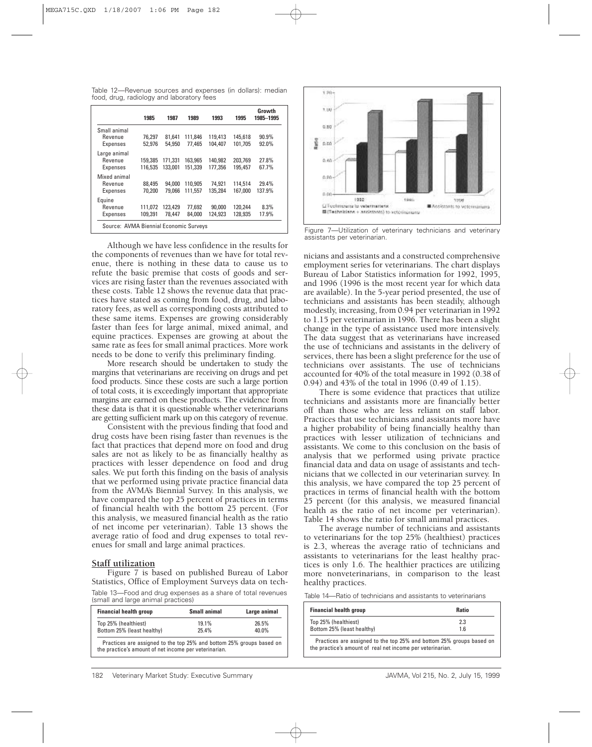Table 12—Revenue sources and expenses (in dollars): median food, drug, radiology and laboratory fees

|                                            | 1985               | 1987               | 1989               | 1993               | 1995               | Growth<br>1985-1995 |
|--------------------------------------------|--------------------|--------------------|--------------------|--------------------|--------------------|---------------------|
| Small animal<br>Revenue<br><b>Expenses</b> | 76.297<br>52,976   | 81.641<br>54.950   | 111.846<br>77.465  | 119,413<br>104.407 | 145.618<br>101.705 | 90.9%<br>92.0%      |
| Large animal<br>Revenue<br><b>Expenses</b> | 159.385<br>116.535 | 171,331<br>133.001 | 163.965<br>151.339 | 140.982<br>177.356 | 203.769<br>195.457 | 27.8%<br>67.7%      |
| Mixed animal<br>Revenue<br><b>Expenses</b> | 88.495<br>70.200   | 94.000<br>79.066   | 110.905<br>111.557 | 74.921<br>135.284  | 114.514<br>167.000 | 29.4%<br>137.9%     |
| Equine<br>Revenue<br><b>Expenses</b>       | 111.072<br>109.391 | 123,429<br>78.447  | 77.692<br>84.000   | 90.000<br>124.923  | 120,244<br>128.935 | 8.3%<br>17.9%       |
| Source: AVMA Biennial Economic Surveys     |                    |                    |                    |                    |                    |                     |

Although we have less confidence in the results for the components of revenues than we have for total revenue, there is nothing in these data to cause us to refute the basic premise that costs of goods and services are rising faster than the revenues associated with these costs. Table 12 shows the revenue data that practices have stated as coming from food, drug, and laboratory fees, as well as corresponding costs attributed to these same items. Expenses are growing considerably faster than fees for large animal, mixed animal, and equine practices. Expenses are growing at about the same rate as fees for small animal practices. More work needs to be done to verify this preliminary finding.

More research should be undertaken to study the margins that veterinarians are receiving on drugs and pet food products. Since these costs are such a large portion of total costs, it is exceedingly important that appropriate margins are earned on these products. The evidence from these data is that it is questionable whether veterinarians are getting sufficient mark up on this category of revenue.

Consistent with the previous finding that food and drug costs have been rising faster than revenues is the fact that practices that depend more on food and drug sales are not as likely to be as financially healthy as practices with lesser dependence on food and drug sales. We put forth this finding on the basis of analysis that we performed using private practice financial data from the AVMA's Biennial Survey. In this analysis, we have compared the top 25 percent of practices in terms of financial health with the bottom 25 percent. (For this analysis, we measured financial health as the ratio of net income per veterinarian). Table 13 shows the average ratio of food and drug expenses to total revenues for small and large animal practices.

# **Staff utilization**

Figure 7 is based on published Bureau of Labor Statistics, Office of Employment Surveys data on tech-Table 13—Food and drug expenses as a share of total revenues (small and large animal practices)

| <b>Financial health group</b> | <b>Small animal</b> | Large animal |
|-------------------------------|---------------------|--------------|
| Top 25% (healthiest)          | 19.1%               | 26.5%        |
| Bottom 25% (least healthy)    | 25.4%               | 40.0%        |



Figure 7—Utilization of veterinary technicians and veterinary assistants per veterinarian.

nicians and assistants and a constructed comprehensive employment series for veterinarians. The chart displays Bureau of Labor Statistics information for 1992, 1995, and 1996 (1996 is the most recent year for which data are available). In the 5-year period presented, the use of technicians and assistants has been steadily, although modestly, increasing, from 0.94 per veterinarian in 1992 to 1.15 per veterinarian in 1996. There has been a slight change in the type of assistance used more intensively. The data suggest that as veterinarians have increased the use of technicians and assistants in the delivery of services, there has been a slight preference for the use of technicians over assistants. The use of technicians accounted for 40% of the total measure in 1992 (0.38 of 0.94) and 43% of the total in 1996 (0.49 of 1.15).

There is some evidence that practices that utilize technicians and assistants more are financially better off than those who are less reliant on staff labor. Practices that use technicians and assistants more have a higher probability of being financially healthy than practices with lesser utilization of technicians and assistants. We come to this conclusion on the basis of analysis that we performed using private practice financial data and data on usage of assistants and technicians that we collected in our veterinarian survey. In this analysis, we have compared the top 25 percent of practices in terms of financial health with the bottom 25 percent (for this analysis, we measured financial health as the ratio of net income per veterinarian). Table 14 shows the ratio for small animal practices.

The average number of technicians and assistants to veterinarians for the top 25% (healthiest) practices is 2.3, whereas the average ratio of technicians and assistants to veterinarians for the least healthy practices is only 1.6. The healthier practices are utilizing more nonveterinarians, in comparison to the least healthy practices.

Table 14—Ratio of technicians and assistants to veterinarians

| <b>Financial health group</b>                                                                                                      | <b>Ratio</b> |
|------------------------------------------------------------------------------------------------------------------------------------|--------------|
| Top 25% (healthiest)                                                                                                               | 2.3          |
| Bottom 25% (least healthy)                                                                                                         | 16           |
| Practices are assigned to the top 25% and bottom 25% groups based on<br>the practice's amount of real net income per veterinarian. |              |